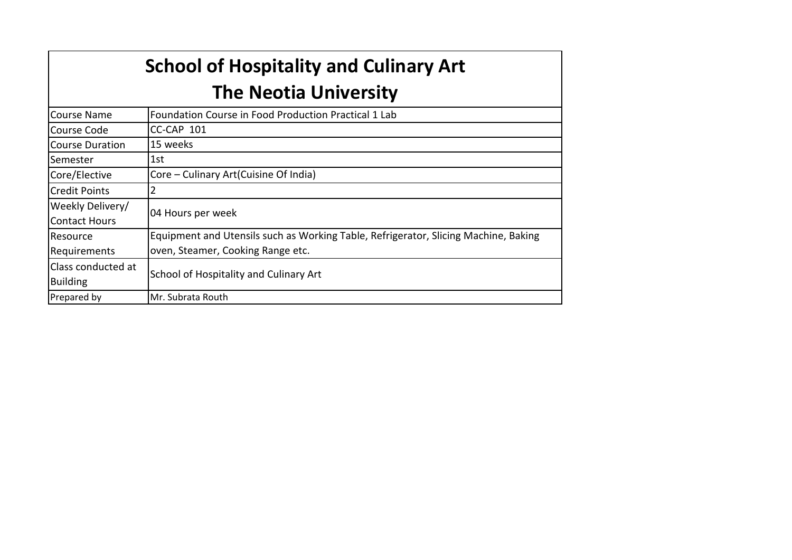# **School of Hospitality and Culinary Art The Neotia University**

| <b>Course Name</b>     | Foundation Course in Food Production Practical 1 Lab                                |
|------------------------|-------------------------------------------------------------------------------------|
| Course Code            | CC-CAP 101                                                                          |
| <b>Course Duration</b> | 15 weeks                                                                            |
| Semester               | 1st.                                                                                |
| Core/Elective          | Core – Culinary Art (Cuisine Of India)                                              |
| <b>Credit Points</b>   |                                                                                     |
| Weekly Delivery/       |                                                                                     |
| <b>Contact Hours</b>   | 04 Hours per week                                                                   |
| Resource               | Equipment and Utensils such as Working Table, Refrigerator, Slicing Machine, Baking |
| Requirements           | oven, Steamer, Cooking Range etc.                                                   |
| Class conducted at     |                                                                                     |
| <b>Building</b>        | School of Hospitality and Culinary Art                                              |
| Prepared by            | Mr. Subrata Routh                                                                   |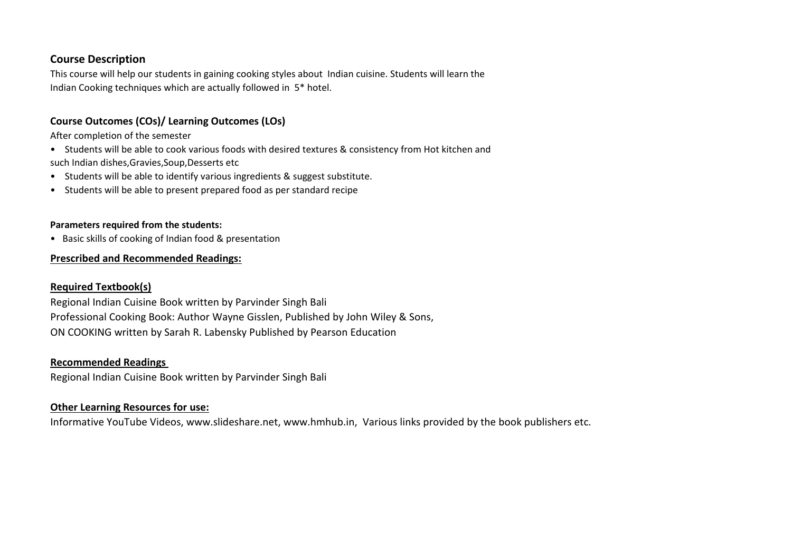# **Course Description**

This course will help our students in gaining cooking styles about Indian cuisine. Students will learn the Indian Cooking techniques which are actually followed in 5\* hotel.

## **Course Outcomes (COs)/ Learning Outcomes (LOs)**

After completion of the semester

- Students will be able to cook various foods with desired textures & consistency from Hot kitchen and such Indian dishes,Gravies,Soup,Desserts etc
- Students will be able to identify various ingredients & suggest substitute.
- Students will be able to present prepared food as per standard recipe

#### **Parameters required from the students:**

• Basic skills of cooking of Indian food & presentation

# **Prescribed and Recommended Readings:**

## **Required Textbook(s)**

Regional Indian Cuisine Book written by Parvinder Singh Bali Professional Cooking Book: Author Wayne Gisslen, Published by John Wiley & Sons, ON COOKING written by Sarah R. Labensky Published by Pearson Education

#### **Recommended Readings**

Regional Indian Cuisine Book written by Parvinder Singh Bali

## **Other Learning Resources for use:**

Informative YouTube Videos, www.slideshare.net, www.hmhub.in, Various links provided by the book publishers etc.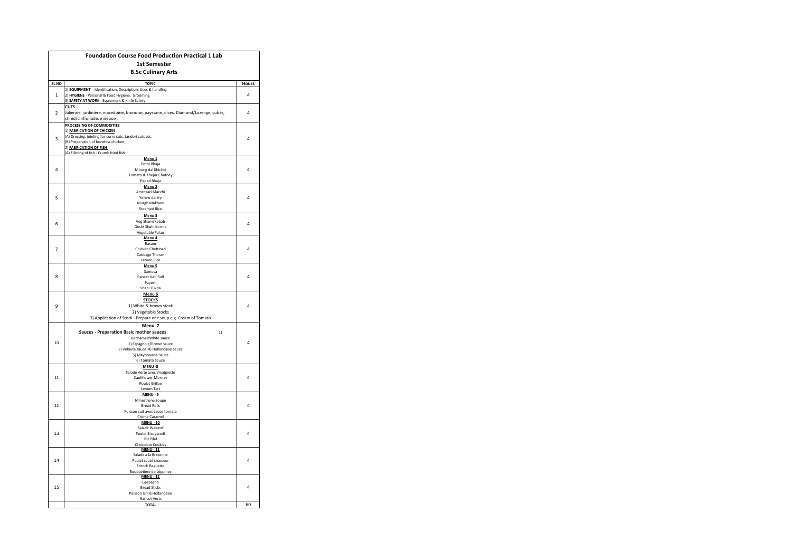|                         | <b>Foundation Course Food Production Practical 1 Lab</b>                                                           |       |  |  |  |  |  |
|-------------------------|--------------------------------------------------------------------------------------------------------------------|-------|--|--|--|--|--|
|                         | <b>1st Semester</b>                                                                                                |       |  |  |  |  |  |
|                         | <b>B.Sc Culinary Arts</b>                                                                                          |       |  |  |  |  |  |
| SL NO                   | <b>TOPIC</b>                                                                                                       | Hours |  |  |  |  |  |
|                         | 1) EQUIPMENT - Identification, Description, Uses & handling                                                        |       |  |  |  |  |  |
| $\mathbf{1}$            | 2) HYGIENE - Personal & Food Hygiene, Grooming                                                                     | 4     |  |  |  |  |  |
|                         | 3) SAFETY AT WORK - Equipment & Knife Safety                                                                       |       |  |  |  |  |  |
| $\overline{z}$          | <b>CUTS</b>                                                                                                        | 4     |  |  |  |  |  |
|                         | Julienne, jardinière, macedoine, brunoise, payssane, dices, Diamond/Lozenge, cubes,<br>shred/chiffonade, mirepoix. |       |  |  |  |  |  |
|                         | PROCESSING OF COMMODITIES                                                                                          |       |  |  |  |  |  |
|                         | 1) FABRICATION OF CHICKEN                                                                                          |       |  |  |  |  |  |
| $\overline{\mathbf{3}}$ | (A) Dressing, jointing for curry cuts, tandori cuts etc.                                                           | 4     |  |  |  |  |  |
|                         | (B) Preparation of boneless chicken<br>2) <b>FABRICATION OF FISH</b>                                               |       |  |  |  |  |  |
|                         | (A) Filleting of fish - Crumb fried fish                                                                           |       |  |  |  |  |  |
|                         | Menu <sub>1</sub>                                                                                                  |       |  |  |  |  |  |
| 4                       | Potol Bhaja                                                                                                        | 4     |  |  |  |  |  |
|                         | Moong dal Khichdi<br>Tomato & Khejur Chutney                                                                       |       |  |  |  |  |  |
|                         | Papad Bhaja                                                                                                        |       |  |  |  |  |  |
|                         | Menu <sub>2</sub>                                                                                                  |       |  |  |  |  |  |
| 5                       | Amritsari Macchi<br>Yellow dal fry                                                                                 | 4     |  |  |  |  |  |
|                         | Murgh Makhani                                                                                                      |       |  |  |  |  |  |
|                         | <b>Steamed Rice</b>                                                                                                |       |  |  |  |  |  |
|                         | Menu <sub>3</sub>                                                                                                  |       |  |  |  |  |  |
| 6                       | Veg Shami Kebab                                                                                                    | 4     |  |  |  |  |  |
|                         | Gosht Shahi Korma<br>Vegetable Pulao                                                                               |       |  |  |  |  |  |
|                         | Menu <sub>4</sub>                                                                                                  |       |  |  |  |  |  |
|                         | Rasam                                                                                                              |       |  |  |  |  |  |
| $\overline{7}$          | Chicken Chettinad                                                                                                  | 4     |  |  |  |  |  |
|                         | Cabbage Thoran<br>Lemon Rice                                                                                       |       |  |  |  |  |  |
|                         | Menu <sub>5</sub>                                                                                                  |       |  |  |  |  |  |
|                         | Samosa                                                                                                             |       |  |  |  |  |  |
| 8                       | Paneer Kati Roll<br>Pavesh                                                                                         | 4     |  |  |  |  |  |
|                         | Shahi Tukda                                                                                                        |       |  |  |  |  |  |
|                         | Menu <sub>6</sub>                                                                                                  |       |  |  |  |  |  |
|                         | <b>STOCKS</b>                                                                                                      |       |  |  |  |  |  |
| 9                       | 1) White & brown stock                                                                                             | 4     |  |  |  |  |  |
|                         | 2) Vegetable Stocks                                                                                                |       |  |  |  |  |  |
|                         | 3) Application of Stock - Prepare one soup e.g. Cream of Tomato                                                    |       |  |  |  |  |  |
|                         | Menu 7<br><b>Sauces - Preparation Basic mother sauces</b><br>1)                                                    |       |  |  |  |  |  |
|                         | Bechamel/White sauce                                                                                               |       |  |  |  |  |  |
| 10                      | 2) Espagnole/Brown sauce                                                                                           | 4     |  |  |  |  |  |
|                         | 3) Veloute sauce 4) Hollandaise Sauce                                                                              |       |  |  |  |  |  |
|                         | 5) Mayonnaise Sauce                                                                                                |       |  |  |  |  |  |
|                         | 6) Tomato Sauce<br>MENU-8                                                                                          |       |  |  |  |  |  |
|                         | Salade Verte avec Vinaigrette                                                                                      |       |  |  |  |  |  |
| 11                      | Cauliflower Mornay                                                                                                 | 4     |  |  |  |  |  |
|                         | <b>Poulet Grillee</b><br>Lemon Tart                                                                                |       |  |  |  |  |  |
|                         | MENU - 9                                                                                                           |       |  |  |  |  |  |
|                         | Minestrone Soupe                                                                                                   |       |  |  |  |  |  |
| 12                      | <b>Bread Rolls</b>                                                                                                 | 4     |  |  |  |  |  |
|                         | Poisson cuit avec sauce tomate                                                                                     |       |  |  |  |  |  |
|                         | Crème Caramel<br><b>MENU - 10</b>                                                                                  |       |  |  |  |  |  |
|                         | Salade Waldorf                                                                                                     |       |  |  |  |  |  |
| 13                      | Poulet Stroganoff                                                                                                  | 4     |  |  |  |  |  |
|                         | <b>Riz Pilaf</b>                                                                                                   |       |  |  |  |  |  |
|                         | <b>Chocolate Cookies</b><br><b>MENU - 11</b>                                                                       |       |  |  |  |  |  |
|                         | Salade a la Bretonne                                                                                               | 4     |  |  |  |  |  |
| 14                      | Poulet sauté chasseur                                                                                              |       |  |  |  |  |  |
|                         | French Baguette<br>Bouquetière de Légumes                                                                          |       |  |  |  |  |  |
|                         | <b>MENU - 12</b>                                                                                                   |       |  |  |  |  |  |
|                         | Gazpacho                                                                                                           |       |  |  |  |  |  |
| 15                      | <b>Bread Sticks</b><br>Poisson Grillé Hollandaise                                                                  | 4     |  |  |  |  |  |
|                         | <b>Haricot Verts</b>                                                                                               |       |  |  |  |  |  |
|                         | <b>TOTAL</b>                                                                                                       | 60    |  |  |  |  |  |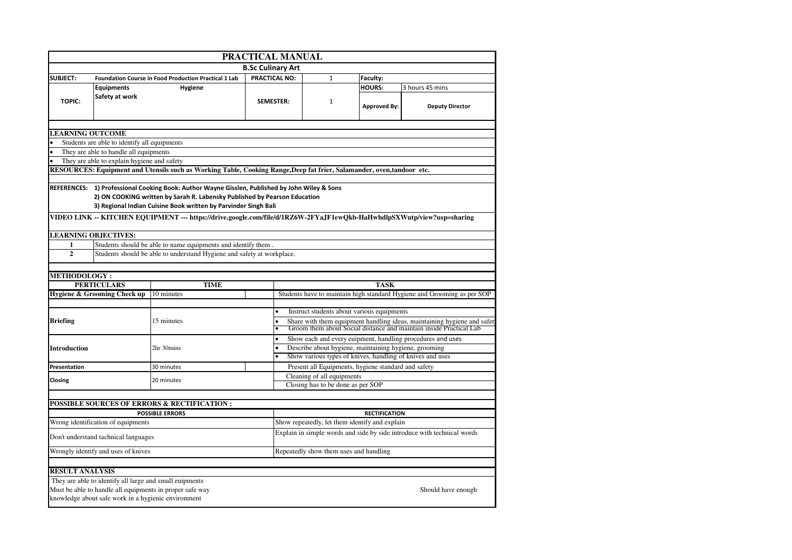|                                                                                                                        | PRACTICAL MANUAL                                                                                                       |                                                                                                |                          |                                                                                                                                               |                      |                                                                         |  |  |  |  |
|------------------------------------------------------------------------------------------------------------------------|------------------------------------------------------------------------------------------------------------------------|------------------------------------------------------------------------------------------------|--------------------------|-----------------------------------------------------------------------------------------------------------------------------------------------|----------------------|-------------------------------------------------------------------------|--|--|--|--|
|                                                                                                                        |                                                                                                                        |                                                                                                | <b>B.Sc Culinary Art</b> |                                                                                                                                               |                      |                                                                         |  |  |  |  |
| <b>SUBJECT:</b>                                                                                                        |                                                                                                                        | <b>Foundation Course in Food Production Practical 1 Lab</b>                                    | PRACTICAL NO:            | $\mathbf{1}$                                                                                                                                  | Faculty:             |                                                                         |  |  |  |  |
|                                                                                                                        | <b>Equipments</b>                                                                                                      | Hygiene                                                                                        |                          |                                                                                                                                               | <b>HOURS:</b>        | 3 hours 45 mins                                                         |  |  |  |  |
| <b>TOPIC:</b>                                                                                                          | Safety at work                                                                                                         |                                                                                                | <b>SEMESTER:</b>         | $\mathbf{1}$                                                                                                                                  | <b>Approved By:</b>  | <b>Deputy Director</b>                                                  |  |  |  |  |
|                                                                                                                        |                                                                                                                        |                                                                                                |                          |                                                                                                                                               |                      |                                                                         |  |  |  |  |
| <b>LEARNING OUTCOME</b>                                                                                                | Students are able to identify all equipments                                                                           |                                                                                                |                          |                                                                                                                                               |                      |                                                                         |  |  |  |  |
|                                                                                                                        | They are able to handle all equipments                                                                                 |                                                                                                |                          |                                                                                                                                               |                      |                                                                         |  |  |  |  |
|                                                                                                                        | They are able to explain hygiene and safety                                                                            |                                                                                                |                          |                                                                                                                                               |                      |                                                                         |  |  |  |  |
| RESOURCES: Equipment and Utensils such as Working Table, Cooking Range, Deep fat frier, Salamander, oven, tandoor etc. |                                                                                                                        |                                                                                                |                          |                                                                                                                                               |                      |                                                                         |  |  |  |  |
|                                                                                                                        |                                                                                                                        |                                                                                                |                          |                                                                                                                                               |                      |                                                                         |  |  |  |  |
|                                                                                                                        |                                                                                                                        | REFERENCES: 1) Professional Cooking Book: Author Wayne Gisslen, Published by John Wiley & Sons |                          |                                                                                                                                               |                      |                                                                         |  |  |  |  |
|                                                                                                                        |                                                                                                                        | 2) ON COOKING written by Sarah R. Labensky Published by Pearson Education                      |                          |                                                                                                                                               |                      |                                                                         |  |  |  |  |
|                                                                                                                        |                                                                                                                        | 3) Regional Indian Cuisine Book written by Parvinder Singh Bali                                |                          |                                                                                                                                               |                      |                                                                         |  |  |  |  |
|                                                                                                                        | VIDEO LINK -- KITCHEN EQUIPMENT --- https://drive.google.com/file/d/1RZ6W-2FYaJF1ewQkb-HaHwhdlpSXWutp/view?usp=sharing |                                                                                                |                          |                                                                                                                                               |                      |                                                                         |  |  |  |  |
|                                                                                                                        | <b>LEARNING OBJECTIVES:</b>                                                                                            |                                                                                                |                          |                                                                                                                                               |                      |                                                                         |  |  |  |  |
| 1                                                                                                                      | Students should be able to name equipments and identify them.                                                          |                                                                                                |                          |                                                                                                                                               |                      |                                                                         |  |  |  |  |
| $\overline{2}$                                                                                                         | Students should be able to understand Hygiene and safety at workplace.                                                 |                                                                                                |                          |                                                                                                                                               |                      |                                                                         |  |  |  |  |
|                                                                                                                        |                                                                                                                        |                                                                                                |                          |                                                                                                                                               |                      |                                                                         |  |  |  |  |
| <b>METHODOLOGY:</b>                                                                                                    |                                                                                                                        |                                                                                                |                          |                                                                                                                                               |                      |                                                                         |  |  |  |  |
|                                                                                                                        | <b>PERTICULARS</b>                                                                                                     | <b>TIME</b>                                                                                    |                          |                                                                                                                                               | <b>TASK</b>          |                                                                         |  |  |  |  |
|                                                                                                                        | Hygiene & Grooming Check up                                                                                            | 10 minutes                                                                                     |                          |                                                                                                                                               |                      | Students have to maintain high standard Hygiene and Grooming as per SOP |  |  |  |  |
|                                                                                                                        |                                                                                                                        |                                                                                                |                          |                                                                                                                                               |                      |                                                                         |  |  |  |  |
|                                                                                                                        |                                                                                                                        |                                                                                                | $\bullet$                | Instruct students about various equipments                                                                                                    |                      |                                                                         |  |  |  |  |
| <b>Briefing</b>                                                                                                        |                                                                                                                        | 15 minutes                                                                                     |                          | Share with them equipment handling ideas, maintaining hygiene and safet<br>Groom them about Social distance and maintain inside Practical Lab |                      |                                                                         |  |  |  |  |
|                                                                                                                        |                                                                                                                        |                                                                                                |                          |                                                                                                                                               |                      |                                                                         |  |  |  |  |
|                                                                                                                        |                                                                                                                        | 2hr 30mins                                                                                     |                          | Show each and every euipment, handling procedures and uses<br>$\bullet$<br>$\bullet$                                                          |                      |                                                                         |  |  |  |  |
| <b>Introduction</b>                                                                                                    |                                                                                                                        |                                                                                                |                          | Describe about hygiene, maintaining hygiene, grooming                                                                                         |                      |                                                                         |  |  |  |  |
| Presentation                                                                                                           |                                                                                                                        |                                                                                                |                          | Show various types of knives, handling of knives and uses                                                                                     |                      |                                                                         |  |  |  |  |
|                                                                                                                        |                                                                                                                        | 30 minutes                                                                                     |                          | Present all Equipments, hygiene standard and safety                                                                                           |                      |                                                                         |  |  |  |  |
| Closing                                                                                                                |                                                                                                                        | 20 minutes                                                                                     |                          | Cleaning of all equipments<br>Closing has to be done as per SOP                                                                               |                      |                                                                         |  |  |  |  |
|                                                                                                                        |                                                                                                                        |                                                                                                |                          |                                                                                                                                               |                      |                                                                         |  |  |  |  |
|                                                                                                                        |                                                                                                                        |                                                                                                |                          |                                                                                                                                               |                      |                                                                         |  |  |  |  |
|                                                                                                                        |                                                                                                                        |                                                                                                |                          |                                                                                                                                               |                      |                                                                         |  |  |  |  |
|                                                                                                                        |                                                                                                                        | <b>POSSIBLE SOURCES OF ERRORS &amp; RECTIFICATION :</b>                                        |                          |                                                                                                                                               | <b>RECTIFICATION</b> |                                                                         |  |  |  |  |
|                                                                                                                        | Wrong identification of equipments                                                                                     | <b>POSSIBLE ERRORS</b>                                                                         |                          | Show repeatedly, let them identify and explain                                                                                                |                      |                                                                         |  |  |  |  |
|                                                                                                                        | Don't understand tachnical languages                                                                                   |                                                                                                |                          |                                                                                                                                               |                      | Explain in simple words and side by side introduce with technical words |  |  |  |  |
|                                                                                                                        |                                                                                                                        |                                                                                                |                          |                                                                                                                                               |                      |                                                                         |  |  |  |  |
|                                                                                                                        | Wrongly identify and uses of knives                                                                                    |                                                                                                |                          | Repeatedly show them uses and handling                                                                                                        |                      |                                                                         |  |  |  |  |
|                                                                                                                        |                                                                                                                        |                                                                                                |                          |                                                                                                                                               |                      |                                                                         |  |  |  |  |
| <b>RESULT ANALYSIS</b>                                                                                                 |                                                                                                                        |                                                                                                |                          |                                                                                                                                               |                      |                                                                         |  |  |  |  |
|                                                                                                                        | They are able to identify all large and small euipments                                                                | Must be able to handle all equipments in proper safe way                                       |                          |                                                                                                                                               |                      | Should have enough                                                      |  |  |  |  |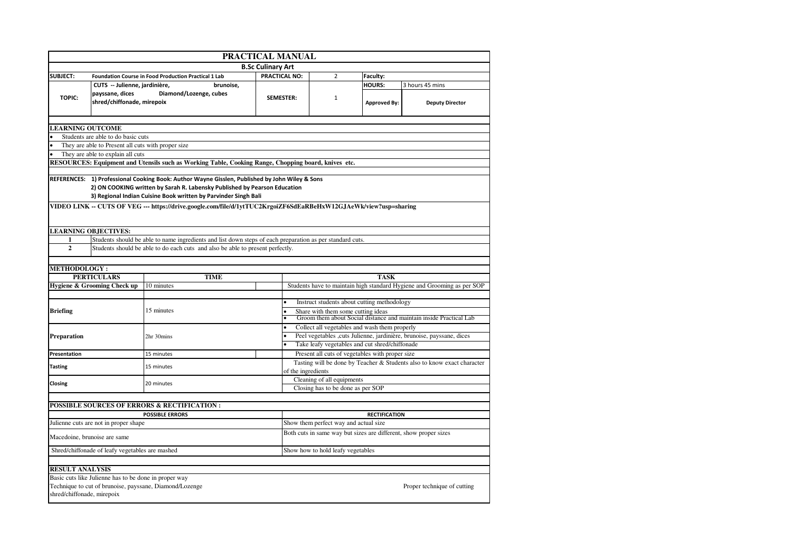|                            | PRACTICAL MANUAL                                      |                                                                                                                                                                                                                                                                                                                                                                    |                          |                                                                        |                                       |                                                 |                                                                         |  |  |  |
|----------------------------|-------------------------------------------------------|--------------------------------------------------------------------------------------------------------------------------------------------------------------------------------------------------------------------------------------------------------------------------------------------------------------------------------------------------------------------|--------------------------|------------------------------------------------------------------------|---------------------------------------|-------------------------------------------------|-------------------------------------------------------------------------|--|--|--|
|                            |                                                       |                                                                                                                                                                                                                                                                                                                                                                    | <b>B.Sc Culinary Art</b> |                                                                        |                                       |                                                 |                                                                         |  |  |  |
| <b>SUBJECT:</b>            |                                                       | <b>Foundation Course in Food Production Practical 1 Lab</b>                                                                                                                                                                                                                                                                                                        | <b>PRACTICAL NO:</b>     |                                                                        | $\overline{2}$                        | Faculty:                                        |                                                                         |  |  |  |
|                            | CUTS -- Julienne, jardinière,                         | brunoise,                                                                                                                                                                                                                                                                                                                                                          |                          |                                                                        |                                       | <b>HOURS:</b>                                   | 3 hours 45 mins                                                         |  |  |  |
| <b>TOPIC:</b>              | payssane, dices<br>shred/chiffonade, mirepoix         | Diamond/Lozenge, cubes                                                                                                                                                                                                                                                                                                                                             | <b>SEMESTER:</b>         |                                                                        | $\mathbf{1}$                          | <b>Approved By:</b>                             | <b>Deputy Director</b>                                                  |  |  |  |
|                            |                                                       |                                                                                                                                                                                                                                                                                                                                                                    |                          |                                                                        |                                       |                                                 |                                                                         |  |  |  |
| <b>LEARNING OUTCOME</b>    |                                                       |                                                                                                                                                                                                                                                                                                                                                                    |                          |                                                                        |                                       |                                                 |                                                                         |  |  |  |
|                            | Students are able to do basic cuts                    |                                                                                                                                                                                                                                                                                                                                                                    |                          |                                                                        |                                       |                                                 |                                                                         |  |  |  |
|                            | They are able to Present all cuts with proper size    |                                                                                                                                                                                                                                                                                                                                                                    |                          |                                                                        |                                       |                                                 |                                                                         |  |  |  |
|                            | They are able to explain all cuts                     |                                                                                                                                                                                                                                                                                                                                                                    |                          |                                                                        |                                       |                                                 |                                                                         |  |  |  |
|                            |                                                       | RESOURCES: Equipment and Utensils such as Working Table, Cooking Range, Chopping board, knives etc.                                                                                                                                                                                                                                                                |                          |                                                                        |                                       |                                                 |                                                                         |  |  |  |
|                            |                                                       | REFERENCES: 1) Professional Cooking Book: Author Wayne Gisslen, Published by John Wiley & Sons<br>2) ON COOKING written by Sarah R. Labensky Published by Pearson Education<br>3) Regional Indian Cuisine Book written by Parvinder Singh Bali<br>VIDEO LINK -- CUTS OF VEG --- https://drive.google.com/file/d/1ytTUC2KrgoiZF6SdEaRBeHxW12GJAeWk/view?usp=sharing |                          |                                                                        |                                       |                                                 |                                                                         |  |  |  |
|                            | <b>LEARNING OBJECTIVES:</b>                           |                                                                                                                                                                                                                                                                                                                                                                    |                          |                                                                        |                                       |                                                 |                                                                         |  |  |  |
| 1                          |                                                       | Students should be able to name ingredients and list down steps of each preparation as per standard cuts.                                                                                                                                                                                                                                                          |                          |                                                                        |                                       |                                                 |                                                                         |  |  |  |
| $\overline{2}$             |                                                       | Students should be able to do each cuts and also be able to present perfectly.                                                                                                                                                                                                                                                                                     |                          |                                                                        |                                       |                                                 |                                                                         |  |  |  |
|                            |                                                       |                                                                                                                                                                                                                                                                                                                                                                    |                          |                                                                        |                                       |                                                 |                                                                         |  |  |  |
| <b>METHODOLOGY:</b>        |                                                       |                                                                                                                                                                                                                                                                                                                                                                    |                          |                                                                        |                                       |                                                 |                                                                         |  |  |  |
|                            | <b>PERTICULARS</b>                                    | <b>TIME</b>                                                                                                                                                                                                                                                                                                                                                        |                          |                                                                        |                                       | <b>TASK</b>                                     |                                                                         |  |  |  |
|                            | Hygiene & Grooming Check up                           | 10 minutes                                                                                                                                                                                                                                                                                                                                                         |                          |                                                                        |                                       |                                                 | Students have to maintain high standard Hygiene and Grooming as per SOP |  |  |  |
|                            |                                                       | 15 minutes                                                                                                                                                                                                                                                                                                                                                         | $\bullet$                | Instruct students about cutting methodology                            |                                       |                                                 |                                                                         |  |  |  |
| <b>Briefing</b>            |                                                       |                                                                                                                                                                                                                                                                                                                                                                    |                          | Share with them some cutting ideas                                     |                                       |                                                 |                                                                         |  |  |  |
|                            |                                                       |                                                                                                                                                                                                                                                                                                                                                                    |                          | Groom them about Social distance and maintain inside Practical Lab     |                                       |                                                 |                                                                         |  |  |  |
|                            |                                                       |                                                                                                                                                                                                                                                                                                                                                                    | $\bullet$                | Collect all vegetables and wash them properly                          |                                       |                                                 |                                                                         |  |  |  |
| Preparation                |                                                       | 2hr 30mins                                                                                                                                                                                                                                                                                                                                                         |                          | Peel vegetables , cuts Julienne, jardinière, brunoise, payssane, dices |                                       |                                                 |                                                                         |  |  |  |
|                            |                                                       |                                                                                                                                                                                                                                                                                                                                                                    |                          | Take leafy vegetables and cut shred/chiffonade                         |                                       |                                                 |                                                                         |  |  |  |
| Presentation               |                                                       | 15 minutes                                                                                                                                                                                                                                                                                                                                                         |                          |                                                                        |                                       | Present all cuts of vegetables with proper size |                                                                         |  |  |  |
| <b>Tasting</b>             |                                                       | 15 minutes                                                                                                                                                                                                                                                                                                                                                         |                          | of the ingredients                                                     |                                       |                                                 | Tasting will be done by Teacher & Students also to know exact character |  |  |  |
| Closing                    |                                                       | 20 minutes                                                                                                                                                                                                                                                                                                                                                         |                          |                                                                        | Cleaning of all equipments            |                                                 |                                                                         |  |  |  |
|                            |                                                       |                                                                                                                                                                                                                                                                                                                                                                    |                          |                                                                        | Closing has to be done as per SOP     |                                                 |                                                                         |  |  |  |
|                            |                                                       |                                                                                                                                                                                                                                                                                                                                                                    |                          |                                                                        |                                       |                                                 |                                                                         |  |  |  |
|                            |                                                       | <b>POSSIBLE SOURCES OF ERRORS &amp; RECTIFICATION:</b>                                                                                                                                                                                                                                                                                                             |                          |                                                                        |                                       |                                                 |                                                                         |  |  |  |
|                            |                                                       | <b>POSSIBLE ERRORS</b>                                                                                                                                                                                                                                                                                                                                             |                          |                                                                        |                                       | <b>RECTIFICATION</b>                            |                                                                         |  |  |  |
|                            | Julienne cuts are not in proper shape                 |                                                                                                                                                                                                                                                                                                                                                                    |                          |                                                                        | Show them perfect way and actual size |                                                 |                                                                         |  |  |  |
|                            | Macedoine, brunoise are same                          |                                                                                                                                                                                                                                                                                                                                                                    |                          | Both cuts in same way but sizes are different, show proper sizes       |                                       |                                                 |                                                                         |  |  |  |
|                            | Shred/chiffonade of leafy vegetables are mashed       |                                                                                                                                                                                                                                                                                                                                                                    |                          |                                                                        | Show how to hold leafy vegetables     |                                                 |                                                                         |  |  |  |
|                            |                                                       |                                                                                                                                                                                                                                                                                                                                                                    |                          |                                                                        |                                       |                                                 |                                                                         |  |  |  |
| <b>RESULT ANALYSIS</b>     |                                                       |                                                                                                                                                                                                                                                                                                                                                                    |                          |                                                                        |                                       |                                                 |                                                                         |  |  |  |
| shred/chiffonade, mirepoix | Basic cuts like Julienne has to be done in proper way | Technique to cut of brunoise, payssane, Diamond/Lozenge                                                                                                                                                                                                                                                                                                            |                          |                                                                        |                                       |                                                 | Proper technique of cutting                                             |  |  |  |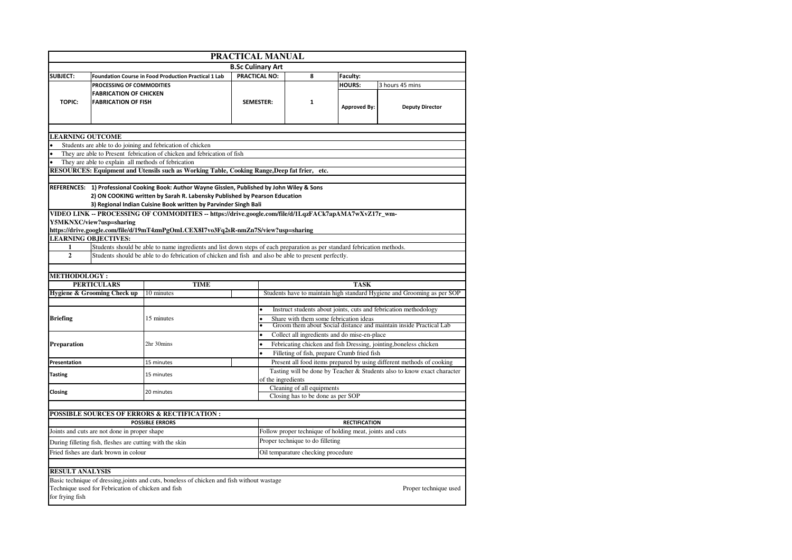|                         |                                                                                                      |                                                                                                                          | PRACTICAL MANUAL         |                                                                                                                           |                                                                                  |                                                                         |  |  |  |
|-------------------------|------------------------------------------------------------------------------------------------------|--------------------------------------------------------------------------------------------------------------------------|--------------------------|---------------------------------------------------------------------------------------------------------------------------|----------------------------------------------------------------------------------|-------------------------------------------------------------------------|--|--|--|
|                         |                                                                                                      |                                                                                                                          | <b>B.Sc Culinary Art</b> |                                                                                                                           |                                                                                  |                                                                         |  |  |  |
| <b>SUBJECT:</b>         |                                                                                                      | Foundation Course in Food Production Practical 1 Lab                                                                     | PRACTICAL NO:            | 8                                                                                                                         | Faculty:                                                                         |                                                                         |  |  |  |
|                         | PROCESSING OF COMMODITIES                                                                            |                                                                                                                          |                          |                                                                                                                           | <b>HOURS:</b>                                                                    | 3 hours 45 mins                                                         |  |  |  |
|                         | <b>FABRICATION OF CHICKEN</b>                                                                        |                                                                                                                          |                          |                                                                                                                           |                                                                                  |                                                                         |  |  |  |
| <b>TOPIC:</b>           | <b>FABRICATION OF FISH</b><br><b>SEMESTER:</b>                                                       |                                                                                                                          | $\mathbf{1}$             | <b>Approved By:</b>                                                                                                       | <b>Deputy Director</b>                                                           |                                                                         |  |  |  |
| <b>LEARNING OUTCOME</b> |                                                                                                      |                                                                                                                          |                          |                                                                                                                           |                                                                                  |                                                                         |  |  |  |
|                         |                                                                                                      | Students are able to do joining and febrication of chicken                                                               |                          |                                                                                                                           |                                                                                  |                                                                         |  |  |  |
|                         |                                                                                                      | They are able to Present febrication of chicken and febrication of fish                                                  |                          |                                                                                                                           |                                                                                  |                                                                         |  |  |  |
|                         | They are able to explain all methods of febrication                                                  |                                                                                                                          |                          |                                                                                                                           |                                                                                  |                                                                         |  |  |  |
|                         |                                                                                                      | RESOURCES: Equipment and Utensils such as Working Table, Cooking Range, Deep fat frier, etc.                             |                          |                                                                                                                           |                                                                                  |                                                                         |  |  |  |
|                         |                                                                                                      |                                                                                                                          |                          |                                                                                                                           |                                                                                  |                                                                         |  |  |  |
|                         |                                                                                                      | REFERENCES: 1) Professional Cooking Book: Author Wayne Gisslen, Published by John Wiley & Sons                           |                          |                                                                                                                           |                                                                                  |                                                                         |  |  |  |
|                         |                                                                                                      | 2) ON COOKING written by Sarah R. Labensky Published by Pearson Education                                                |                          |                                                                                                                           |                                                                                  |                                                                         |  |  |  |
|                         |                                                                                                      | 3) Regional Indian Cuisine Book written by Parvinder Singh Bali                                                          |                          |                                                                                                                           |                                                                                  |                                                                         |  |  |  |
|                         |                                                                                                      | VIDEO LINK -- PROCESSING OF COMMODITIES -- https://drive.google.com/file/d/1LqzFACk7apAMA7wXvZ17r wm-                    |                          |                                                                                                                           |                                                                                  |                                                                         |  |  |  |
|                         | Y5MKNXC/view?usp=sharing                                                                             | https://drive.google.com/file/d/19mT4zmPgOmLCEX8I7vo3Fq2sR-nmZn7S/view?usp=sharing                                       |                          |                                                                                                                           |                                                                                  |                                                                         |  |  |  |
|                         | <b>LEARNING OBJECTIVES:</b>                                                                          |                                                                                                                          |                          |                                                                                                                           |                                                                                  |                                                                         |  |  |  |
| 1                       |                                                                                                      | Students should be able to name ingredients and list down steps of each preparation as per standard febrication methods. |                          |                                                                                                                           |                                                                                  |                                                                         |  |  |  |
| $\overline{2}$          | Students should be able to do febrication of chicken and fish and also be able to present perfectly. |                                                                                                                          |                          |                                                                                                                           |                                                                                  |                                                                         |  |  |  |
|                         |                                                                                                      |                                                                                                                          |                          |                                                                                                                           |                                                                                  |                                                                         |  |  |  |
| <b>METHODOLOGY:</b>     |                                                                                                      |                                                                                                                          |                          |                                                                                                                           |                                                                                  |                                                                         |  |  |  |
|                         | <b>PERTICULARS</b>                                                                                   | <b>TIME</b>                                                                                                              |                          |                                                                                                                           | <b>TASK</b>                                                                      |                                                                         |  |  |  |
|                         | Hygiene & Grooming Check up                                                                          | 10 minutes                                                                                                               |                          |                                                                                                                           |                                                                                  | Students have to maintain high standard Hygiene and Grooming as per SOP |  |  |  |
|                         |                                                                                                      |                                                                                                                          |                          |                                                                                                                           |                                                                                  |                                                                         |  |  |  |
|                         |                                                                                                      | 15 minutes                                                                                                               | $\bullet$                | Instruct students about joints, cuts and febrication methodology                                                          |                                                                                  |                                                                         |  |  |  |
| <b>Briefing</b>         |                                                                                                      |                                                                                                                          | $\overline{\phantom{a}}$ | Share with them some febrication ideas<br>$\bullet$<br>Groom them about Social distance and maintain inside Practical Lab |                                                                                  |                                                                         |  |  |  |
|                         |                                                                                                      |                                                                                                                          |                          | Collect all ingredients and do mise-en-place<br>$\bullet$                                                                 |                                                                                  |                                                                         |  |  |  |
| <b>Preparation</b>      |                                                                                                      | 2hr 30mins                                                                                                               |                          | Febricating chicken and fish Dressing, jointing, boneless chicken                                                         |                                                                                  |                                                                         |  |  |  |
|                         |                                                                                                      |                                                                                                                          | $\bullet$                | Filleting of fish, prepare Crumb fried fish                                                                               |                                                                                  |                                                                         |  |  |  |
| Presentation            |                                                                                                      | 15 minutes                                                                                                               |                          |                                                                                                                           |                                                                                  | Present all food items prepared by using different methods of cooking   |  |  |  |
|                         |                                                                                                      |                                                                                                                          |                          |                                                                                                                           |                                                                                  | Tasting will be done by Teacher & Students also to know exact character |  |  |  |
| <b>Tasting</b>          |                                                                                                      | 15 minutes                                                                                                               |                          | of the ingredients                                                                                                        |                                                                                  |                                                                         |  |  |  |
| Closing                 |                                                                                                      | 20 minutes                                                                                                               |                          | Cleaning of all equipments                                                                                                |                                                                                  |                                                                         |  |  |  |
|                         |                                                                                                      |                                                                                                                          |                          | Closing has to be done as per SOP                                                                                         |                                                                                  |                                                                         |  |  |  |
|                         |                                                                                                      |                                                                                                                          |                          |                                                                                                                           |                                                                                  |                                                                         |  |  |  |
|                         |                                                                                                      | <b>POSSIBLE SOURCES OF ERRORS &amp; RECTIFICATION:</b>                                                                   |                          |                                                                                                                           |                                                                                  |                                                                         |  |  |  |
|                         | Joints and cuts are not done in proper shape                                                         | <b>POSSIBLE ERRORS</b>                                                                                                   |                          |                                                                                                                           | <b>RECTIFICATION</b><br>Follow proper technique of holding meat, joints and cuts |                                                                         |  |  |  |
|                         |                                                                                                      |                                                                                                                          |                          |                                                                                                                           |                                                                                  |                                                                         |  |  |  |
|                         | During filleting fish, fleshes are cutting with the skin                                             |                                                                                                                          |                          | Proper technique to do filleting                                                                                          |                                                                                  |                                                                         |  |  |  |
|                         | Fried fishes are dark brown in colour                                                                |                                                                                                                          |                          | Oil temparature checking procedure                                                                                        |                                                                                  |                                                                         |  |  |  |
| <b>RESULT ANALYSIS</b>  |                                                                                                      |                                                                                                                          |                          |                                                                                                                           |                                                                                  |                                                                         |  |  |  |
|                         |                                                                                                      | Basic technique of dressing, joints and cuts, boneless of chicken and fish without wastage                               |                          |                                                                                                                           |                                                                                  |                                                                         |  |  |  |
| for frying fish         | Technique used for Febrication of chicken and fish                                                   |                                                                                                                          |                          |                                                                                                                           |                                                                                  | Proper technique used                                                   |  |  |  |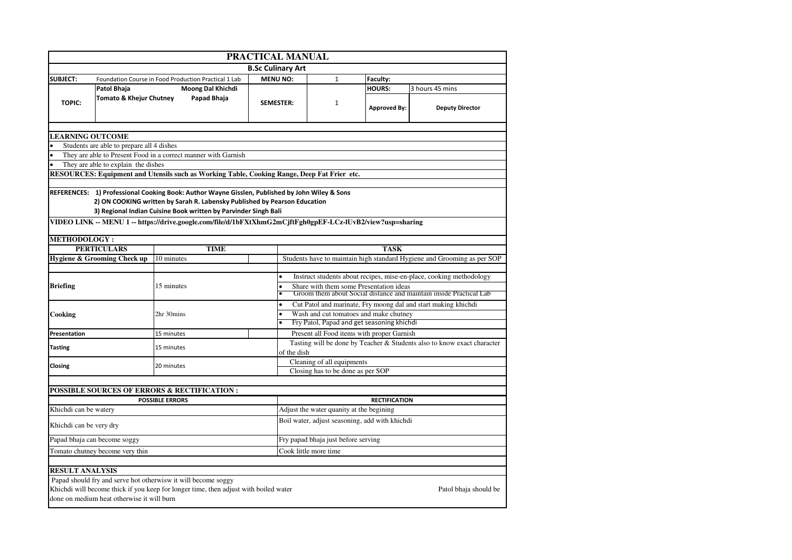|                                                                                             | PRACTICAL MANUAL                           |                                                                                                                                                                                                                                                                                                                                                              |  |                                                                                                                            |                                                |                      |                                                                         |  |  |  |
|---------------------------------------------------------------------------------------------|--------------------------------------------|--------------------------------------------------------------------------------------------------------------------------------------------------------------------------------------------------------------------------------------------------------------------------------------------------------------------------------------------------------------|--|----------------------------------------------------------------------------------------------------------------------------|------------------------------------------------|----------------------|-------------------------------------------------------------------------|--|--|--|
|                                                                                             |                                            |                                                                                                                                                                                                                                                                                                                                                              |  | <b>B.Sc Culinary Art</b>                                                                                                   |                                                |                      |                                                                         |  |  |  |
| <b>SUBJECT:</b>                                                                             |                                            | Foundation Course in Food Production Practical 1 Lab                                                                                                                                                                                                                                                                                                         |  | <b>MENU NO:</b>                                                                                                            | $\mathbf{1}$                                   | Faculty:             |                                                                         |  |  |  |
|                                                                                             | <b>Patol Bhaja</b>                         | Moong Dal Khichdi                                                                                                                                                                                                                                                                                                                                            |  |                                                                                                                            |                                                | <b>HOURS:</b>        | 3 hours 45 mins                                                         |  |  |  |
| <b>TOPIC:</b>                                                                               | <b>Tomato &amp; Khejur Chutney</b>         | Papad Bhaja                                                                                                                                                                                                                                                                                                                                                  |  | <b>SEMESTER:</b>                                                                                                           | $\mathbf{1}$                                   | <b>Approved By:</b>  | <b>Deputy Director</b>                                                  |  |  |  |
|                                                                                             |                                            |                                                                                                                                                                                                                                                                                                                                                              |  |                                                                                                                            |                                                |                      |                                                                         |  |  |  |
| <b>LEARNING OUTCOME</b>                                                                     | Students are able to prepare all 4 dishes  |                                                                                                                                                                                                                                                                                                                                                              |  |                                                                                                                            |                                                |                      |                                                                         |  |  |  |
|                                                                                             |                                            | They are able to Present Food in a correct manner with Garnish                                                                                                                                                                                                                                                                                               |  |                                                                                                                            |                                                |                      |                                                                         |  |  |  |
| They are able to explain the dishes                                                         |                                            |                                                                                                                                                                                                                                                                                                                                                              |  |                                                                                                                            |                                                |                      |                                                                         |  |  |  |
| RESOURCES: Equipment and Utensils such as Working Table, Cooking Range, Deep Fat Frier etc. |                                            |                                                                                                                                                                                                                                                                                                                                                              |  |                                                                                                                            |                                                |                      |                                                                         |  |  |  |
|                                                                                             |                                            |                                                                                                                                                                                                                                                                                                                                                              |  |                                                                                                                            |                                                |                      |                                                                         |  |  |  |
| <b>METHODOLOGY:</b>                                                                         |                                            | REFERENCES: 1) Professional Cooking Book: Author Wayne Gisslen, Published by John Wiley & Sons<br>2) ON COOKING written by Sarah R. Labensky Published by Pearson Education<br>3) Regional Indian Cuisine Book written by Parvinder Singh Bali<br>VIDEO LINK -- MENU 1 -- https://drive.google.com/file/d/1bFXtXhmG2mCjftFgh0gpEF-LCz-lUvB2/view?usp=sharing |  |                                                                                                                            |                                                |                      |                                                                         |  |  |  |
|                                                                                             | <b>PERTICULARS</b>                         | <b>TIME</b>                                                                                                                                                                                                                                                                                                                                                  |  |                                                                                                                            |                                                | <b>TASK</b>          |                                                                         |  |  |  |
|                                                                                             | <b>Hygiene &amp; Grooming Check up</b>     | 10 minutes                                                                                                                                                                                                                                                                                                                                                   |  |                                                                                                                            |                                                |                      | Students have to maintain high standard Hygiene and Grooming as per SOP |  |  |  |
|                                                                                             |                                            |                                                                                                                                                                                                                                                                                                                                                              |  |                                                                                                                            |                                                |                      |                                                                         |  |  |  |
|                                                                                             |                                            |                                                                                                                                                                                                                                                                                                                                                              |  | $\bullet$                                                                                                                  |                                                |                      | Instruct students about recipes, mise-en-place, cooking methodology     |  |  |  |
| <b>Briefing</b>                                                                             |                                            | 15 minutes                                                                                                                                                                                                                                                                                                                                                   |  | Share with them some Presentation ideas<br>$\bullet$<br>Groom them about Social distance and maintain inside Practical Lab |                                                |                      |                                                                         |  |  |  |
|                                                                                             |                                            |                                                                                                                                                                                                                                                                                                                                                              |  | $\bullet$                                                                                                                  |                                                |                      | Cut Patol and marinate, Fry moong dal and start making khichdi          |  |  |  |
| Cooking                                                                                     |                                            | 2hr 30mins                                                                                                                                                                                                                                                                                                                                                   |  | Wash and cut tomatoes and make chutney<br>$\bullet$                                                                        |                                                |                      |                                                                         |  |  |  |
|                                                                                             |                                            |                                                                                                                                                                                                                                                                                                                                                              |  | Fry Patol, Papad and get seasoning khichdi                                                                                 |                                                |                      |                                                                         |  |  |  |
| Presentation                                                                                |                                            | 15 minutes                                                                                                                                                                                                                                                                                                                                                   |  |                                                                                                                            | Present all Food items with proper Garnish     |                      |                                                                         |  |  |  |
| <b>Tasting</b>                                                                              |                                            | 15 minutes                                                                                                                                                                                                                                                                                                                                                   |  | Tasting will be done by Teacher & Students also to know exact character<br>of the dish                                     |                                                |                      |                                                                         |  |  |  |
| Closing                                                                                     |                                            | 20 minutes                                                                                                                                                                                                                                                                                                                                                   |  | Cleaning of all equipments                                                                                                 |                                                |                      |                                                                         |  |  |  |
|                                                                                             |                                            |                                                                                                                                                                                                                                                                                                                                                              |  | Closing has to be done as per SOP                                                                                          |                                                |                      |                                                                         |  |  |  |
|                                                                                             |                                            | <b>POSSIBLE SOURCES OF ERRORS &amp; RECTIFICATION:</b>                                                                                                                                                                                                                                                                                                       |  |                                                                                                                            |                                                |                      |                                                                         |  |  |  |
|                                                                                             |                                            | <b>POSSIBLE ERRORS</b>                                                                                                                                                                                                                                                                                                                                       |  |                                                                                                                            |                                                | <b>RECTIFICATION</b> |                                                                         |  |  |  |
| Khichdi can be watery                                                                       |                                            |                                                                                                                                                                                                                                                                                                                                                              |  |                                                                                                                            | Adjust the water quanity at the begining       |                      |                                                                         |  |  |  |
| Khichdi can be very dry                                                                     |                                            |                                                                                                                                                                                                                                                                                                                                                              |  |                                                                                                                            | Boil water, adjust seasoning, add with khichdi |                      |                                                                         |  |  |  |
|                                                                                             | Papad bhaja can become soggy               |                                                                                                                                                                                                                                                                                                                                                              |  | Fry papad bhaja just before serving                                                                                        |                                                |                      |                                                                         |  |  |  |
|                                                                                             | Tomato chutney become very thin            |                                                                                                                                                                                                                                                                                                                                                              |  |                                                                                                                            | Cook little more time                          |                      |                                                                         |  |  |  |
|                                                                                             |                                            |                                                                                                                                                                                                                                                                                                                                                              |  |                                                                                                                            |                                                |                      |                                                                         |  |  |  |
| <b>RESULT ANALYSIS</b>                                                                      |                                            |                                                                                                                                                                                                                                                                                                                                                              |  |                                                                                                                            |                                                |                      |                                                                         |  |  |  |
|                                                                                             | done on medium heat otherwise it will burn | Papad should fry and serve hot otherwisw it will become soggy<br>Khichdi will become thick if you keep for longer time, then adjust with boiled water                                                                                                                                                                                                        |  |                                                                                                                            |                                                |                      | Patol bhaja should be                                                   |  |  |  |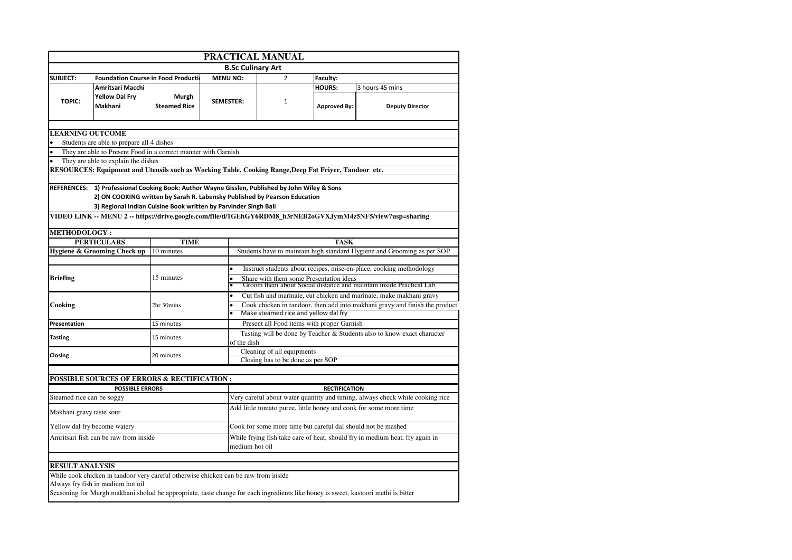|                           | PRACTICAL MANUAL                                                                                                                                                                                                                               |                              |                  |                                                                                                                     |                                                              |                      |                                                                                                                                    |  |  |
|---------------------------|------------------------------------------------------------------------------------------------------------------------------------------------------------------------------------------------------------------------------------------------|------------------------------|------------------|---------------------------------------------------------------------------------------------------------------------|--------------------------------------------------------------|----------------------|------------------------------------------------------------------------------------------------------------------------------------|--|--|
|                           |                                                                                                                                                                                                                                                |                              |                  | <b>B.Sc Culinary Art</b>                                                                                            |                                                              |                      |                                                                                                                                    |  |  |
| <b>SUBJECT:</b>           | <b>Foundation Course in Food Production</b>                                                                                                                                                                                                    |                              | <b>MENU NO:</b>  |                                                                                                                     | $\overline{2}$                                               | Faculty:             |                                                                                                                                    |  |  |
|                           | <b>Amritsari Macchi</b>                                                                                                                                                                                                                        |                              |                  |                                                                                                                     |                                                              | <b>HOURS:</b>        | 3 hours 45 mins                                                                                                                    |  |  |
| <b>TOPIC:</b>             | <b>Yellow Dal Fry</b><br>Makhani                                                                                                                                                                                                               | Murgh<br><b>Steamed Rice</b> | <b>SEMESTER:</b> |                                                                                                                     | $\mathbf{1}$                                                 | <b>Approved By:</b>  | <b>Deputy Director</b>                                                                                                             |  |  |
|                           |                                                                                                                                                                                                                                                |                              |                  |                                                                                                                     |                                                              |                      |                                                                                                                                    |  |  |
| <b>LEARNING OUTCOME</b>   |                                                                                                                                                                                                                                                |                              |                  |                                                                                                                     |                                                              |                      |                                                                                                                                    |  |  |
|                           | Students are able to prepare all 4 dishes<br>They are able to Present Food in a correct manner with Garnish                                                                                                                                    |                              |                  |                                                                                                                     |                                                              |                      |                                                                                                                                    |  |  |
|                           | They are able to explain the dishes                                                                                                                                                                                                            |                              |                  |                                                                                                                     |                                                              |                      |                                                                                                                                    |  |  |
|                           | RESOURCES: Equipment and Utensils such as Working Table, Cooking Range, Deep Fat Friyer, Tandoor etc.                                                                                                                                          |                              |                  |                                                                                                                     |                                                              |                      |                                                                                                                                    |  |  |
|                           |                                                                                                                                                                                                                                                |                              |                  |                                                                                                                     |                                                              |                      |                                                                                                                                    |  |  |
|                           | REFERENCES: 1) Professional Cooking Book: Author Wayne Gisslen, Published by John Wiley & Sons<br>2) ON COOKING written by Sarah R. Labensky Published by Pearson Education<br>3) Regional Indian Cuisine Book written by Parvinder Singh Bali |                              |                  |                                                                                                                     |                                                              |                      | VIDEO LINK -- MENU 2 -- https://drive.google.com/file/d/1GEhGY6RDM8_h3rNEB2oGVXJymM4z5NF5/view?usp=sharing                         |  |  |
| <b>METHODOLOGY:</b>       |                                                                                                                                                                                                                                                |                              |                  |                                                                                                                     |                                                              |                      |                                                                                                                                    |  |  |
|                           | <b>PERTICULARS</b>                                                                                                                                                                                                                             | <b>TIME</b>                  |                  | <b>TASK</b>                                                                                                         |                                                              |                      |                                                                                                                                    |  |  |
|                           | Hygiene & Grooming Check up                                                                                                                                                                                                                    | 10 minutes                   |                  | Students have to maintain high standard Hygiene and Grooming as per SOP                                             |                                                              |                      |                                                                                                                                    |  |  |
|                           |                                                                                                                                                                                                                                                |                              |                  |                                                                                                                     |                                                              |                      |                                                                                                                                    |  |  |
|                           |                                                                                                                                                                                                                                                |                              |                  | $\bullet$                                                                                                           |                                                              |                      | Instruct students about recipes, mise-en-place, cooking methodology                                                                |  |  |
| <b>Briefing</b>           |                                                                                                                                                                                                                                                | 15 minutes                   |                  | Share with them some Presentation ideas<br>Groom them about Social distance and maintain inside Practical Lab       |                                                              |                      |                                                                                                                                    |  |  |
|                           |                                                                                                                                                                                                                                                |                              |                  | Cut fish and marinate, cut chicken and marinate, make makhani gravy                                                 |                                                              |                      |                                                                                                                                    |  |  |
| Cooking                   |                                                                                                                                                                                                                                                | 2hr 30mins                   |                  | Cook chicken in tandoor, then add into makhani gravy and finish the product<br>Make steamed rice and yellow dal fry |                                                              |                      |                                                                                                                                    |  |  |
| Presentation              |                                                                                                                                                                                                                                                | 15 minutes                   |                  |                                                                                                                     | Present all Food items with proper Garnish                   |                      |                                                                                                                                    |  |  |
| <b>Tasting</b>            |                                                                                                                                                                                                                                                | 15 minutes                   |                  | of the dish                                                                                                         |                                                              |                      | Tasting will be done by Teacher & Students also to know exact character                                                            |  |  |
| Closing                   |                                                                                                                                                                                                                                                | 20 minutes                   |                  |                                                                                                                     | Cleaning of all equipments                                   |                      |                                                                                                                                    |  |  |
|                           |                                                                                                                                                                                                                                                |                              |                  |                                                                                                                     | Closing has to be done as per SOP                            |                      |                                                                                                                                    |  |  |
|                           |                                                                                                                                                                                                                                                |                              |                  |                                                                                                                     |                                                              |                      |                                                                                                                                    |  |  |
|                           | <b>POSSIBLE SOURCES OF ERRORS &amp; RECTIFICATION :</b>                                                                                                                                                                                        |                              |                  |                                                                                                                     |                                                              |                      |                                                                                                                                    |  |  |
| Steamed rice can be soggy | <b>POSSIBLE ERRORS</b>                                                                                                                                                                                                                         |                              |                  |                                                                                                                     |                                                              | <b>RECTIFICATION</b> | Very careful about water quantity and timing, always check while cooking rice                                                      |  |  |
|                           |                                                                                                                                                                                                                                                |                              |                  |                                                                                                                     |                                                              |                      | Add little tomato puree, little honey and cook for some more time                                                                  |  |  |
| Makhani gravy taste sour  |                                                                                                                                                                                                                                                |                              |                  |                                                                                                                     |                                                              |                      |                                                                                                                                    |  |  |
|                           | Yellow dal fry become watery                                                                                                                                                                                                                   |                              |                  |                                                                                                                     | Cook for some more time but careful dal should not be mashed |                      |                                                                                                                                    |  |  |
|                           | Amritsari fish can be raw from inside                                                                                                                                                                                                          |                              |                  | While frying fish take care of heat, should fry in medium heat, fry again in<br>medium hot oil                      |                                                              |                      |                                                                                                                                    |  |  |
|                           |                                                                                                                                                                                                                                                |                              |                  |                                                                                                                     |                                                              |                      |                                                                                                                                    |  |  |
| <b>RESULT ANALYSIS</b>    |                                                                                                                                                                                                                                                |                              |                  |                                                                                                                     |                                                              |                      |                                                                                                                                    |  |  |
|                           | While cook chicken in tandoor very careful otherwise chicken can be raw from inside<br>Always fry fish in medium hot oil                                                                                                                       |                              |                  |                                                                                                                     |                                                              |                      |                                                                                                                                    |  |  |
|                           |                                                                                                                                                                                                                                                |                              |                  |                                                                                                                     |                                                              |                      | Seasoning for Murgh makhani sholud be appropriate, taste change for each ingredients like honey is sweet, kastoori methi is bitter |  |  |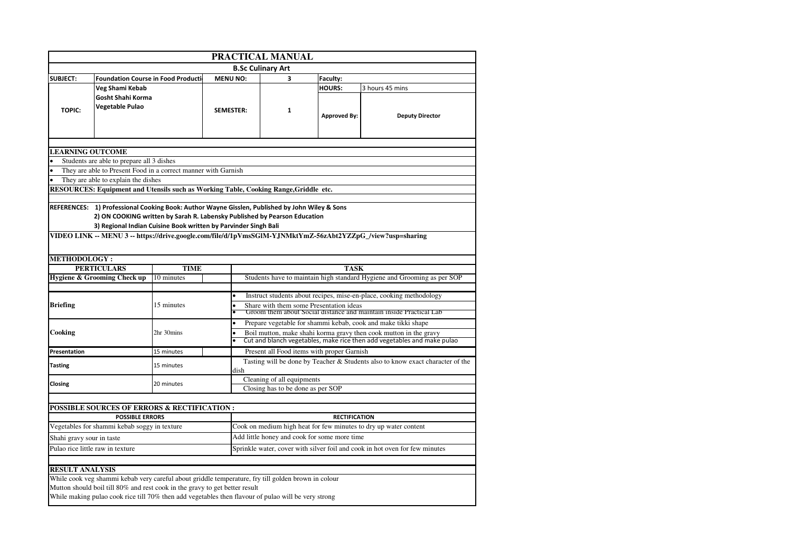|                           | PRACTICAL MANUAL                                                                                                                                                                                                                               |             |                  |                                                                                                                                    |                                              |                      |                                                                                                                                           |  |  |  |
|---------------------------|------------------------------------------------------------------------------------------------------------------------------------------------------------------------------------------------------------------------------------------------|-------------|------------------|------------------------------------------------------------------------------------------------------------------------------------|----------------------------------------------|----------------------|-------------------------------------------------------------------------------------------------------------------------------------------|--|--|--|
|                           |                                                                                                                                                                                                                                                |             |                  |                                                                                                                                    | <b>B.Sc Culinary Art</b>                     |                      |                                                                                                                                           |  |  |  |
| <b>SUBJECT:</b>           | <b>Foundation Course in Food Production</b>                                                                                                                                                                                                    |             | <b>MENU NO:</b>  |                                                                                                                                    |                                              | Faculty:             |                                                                                                                                           |  |  |  |
|                           | Veg Shami Kebab                                                                                                                                                                                                                                |             |                  |                                                                                                                                    |                                              | HOURS:               | 3 hours 45 mins                                                                                                                           |  |  |  |
| <b>TOPIC:</b>             | Gosht Shahi Korma<br>Vegetable Pulao                                                                                                                                                                                                           |             | <b>SEMESTER:</b> |                                                                                                                                    | $\mathbf{1}$                                 | <b>Approved By:</b>  | <b>Deputy Director</b>                                                                                                                    |  |  |  |
|                           |                                                                                                                                                                                                                                                |             |                  |                                                                                                                                    |                                              |                      |                                                                                                                                           |  |  |  |
| <b>LEARNING OUTCOME</b>   |                                                                                                                                                                                                                                                |             |                  |                                                                                                                                    |                                              |                      |                                                                                                                                           |  |  |  |
|                           | Students are able to prepare all 3 dishes                                                                                                                                                                                                      |             |                  |                                                                                                                                    |                                              |                      |                                                                                                                                           |  |  |  |
|                           | They are able to Present Food in a correct manner with Garnish                                                                                                                                                                                 |             |                  |                                                                                                                                    |                                              |                      |                                                                                                                                           |  |  |  |
|                           | They are able to explain the dishes<br>RESOURCES: Equipment and Utensils such as Working Table, Cooking Range, Griddle etc.                                                                                                                    |             |                  |                                                                                                                                    |                                              |                      |                                                                                                                                           |  |  |  |
|                           |                                                                                                                                                                                                                                                |             |                  |                                                                                                                                    |                                              |                      |                                                                                                                                           |  |  |  |
|                           | REFERENCES: 1) Professional Cooking Book: Author Wayne Gisslen, Published by John Wiley & Sons<br>2) ON COOKING written by Sarah R. Labensky Published by Pearson Education<br>3) Regional Indian Cuisine Book written by Parvinder Singh Bali |             |                  |                                                                                                                                    |                                              |                      | VIDEO LINK -- MENU 3 -- https://drive.google.com/file/d/1pVmsSGlM-YJNMktYmZ-56zAbt2YZZpG_/view?usp=sharing                                |  |  |  |
| <b>METHODOLOGY:</b>       |                                                                                                                                                                                                                                                |             |                  |                                                                                                                                    |                                              |                      |                                                                                                                                           |  |  |  |
|                           | <b>PERTICULARS</b>                                                                                                                                                                                                                             | <b>TIME</b> |                  |                                                                                                                                    |                                              | <b>TASK</b>          |                                                                                                                                           |  |  |  |
|                           | Hygiene & Grooming Check up                                                                                                                                                                                                                    | 10 minutes  |                  |                                                                                                                                    |                                              |                      | Students have to maintain high standard Hygiene and Grooming as per SOP                                                                   |  |  |  |
| <b>Briefing</b>           |                                                                                                                                                                                                                                                | 15 minutes  |                  | $\bullet$<br>$\bullet$                                                                                                             | Share with them some Presentation ideas      |                      | Instruct students about recipes, mise-en-place, cooking methodology<br>Groom them about Social distance and maintain inside Practical Lab |  |  |  |
| Cooking                   |                                                                                                                                                                                                                                                | 2hr 30mins  |                  | Prepare vegetable for shammi kebab, cook and make tikki shape<br>Boil mutton, make shahi korma gravy then cook mutton in the gravy |                                              |                      |                                                                                                                                           |  |  |  |
|                           |                                                                                                                                                                                                                                                |             |                  | Cut and blanch vegetables, make rice then add vegetables and make pulao                                                            |                                              |                      |                                                                                                                                           |  |  |  |
| Presentation              |                                                                                                                                                                                                                                                | 15 minutes  |                  |                                                                                                                                    | Present all Food items with proper Garnish   |                      |                                                                                                                                           |  |  |  |
| <b>Tasting</b>            |                                                                                                                                                                                                                                                | 15 minutes  |                  | dish                                                                                                                               |                                              |                      | Tasting will be done by Teacher & Students also to know exact character of the                                                            |  |  |  |
| Closing                   |                                                                                                                                                                                                                                                | 20 minutes  |                  |                                                                                                                                    | Cleaning of all equipments                   |                      |                                                                                                                                           |  |  |  |
|                           |                                                                                                                                                                                                                                                |             |                  |                                                                                                                                    | Closing has to be done as per SOP            |                      |                                                                                                                                           |  |  |  |
|                           |                                                                                                                                                                                                                                                |             |                  |                                                                                                                                    |                                              |                      |                                                                                                                                           |  |  |  |
|                           | <b>POSSIBLE SOURCES OF ERRORS &amp; RECTIFICATION:</b><br><b>POSSIBLE ERRORS</b>                                                                                                                                                               |             |                  |                                                                                                                                    |                                              | <b>RECTIFICATION</b> |                                                                                                                                           |  |  |  |
|                           | Vegetables for shammi kebab soggy in texture                                                                                                                                                                                                   |             |                  |                                                                                                                                    |                                              |                      | Cook on medium high heat for few minutes to dry up water content                                                                          |  |  |  |
|                           |                                                                                                                                                                                                                                                |             |                  |                                                                                                                                    | Add little honey and cook for some more time |                      |                                                                                                                                           |  |  |  |
| Shahi gravy sour in taste | Pulao rice little raw in texture                                                                                                                                                                                                               |             |                  |                                                                                                                                    |                                              |                      |                                                                                                                                           |  |  |  |
|                           |                                                                                                                                                                                                                                                |             |                  |                                                                                                                                    |                                              |                      | Sprinkle water, cover with silver foil and cook in hot oven for few minutes                                                               |  |  |  |
| <b>RESULT ANALYSIS</b>    |                                                                                                                                                                                                                                                |             |                  |                                                                                                                                    |                                              |                      |                                                                                                                                           |  |  |  |
|                           | While cook veg shammi kebab very careful about griddle temperature, fry till golden brown in colour                                                                                                                                            |             |                  |                                                                                                                                    |                                              |                      |                                                                                                                                           |  |  |  |
|                           | Mutton should boil till 80% and rest cook in the gravy to get better result<br>While making pulao cook rice till 70% then add vegetables then flavour of pulao will be very strong                                                             |             |                  |                                                                                                                                    |                                              |                      |                                                                                                                                           |  |  |  |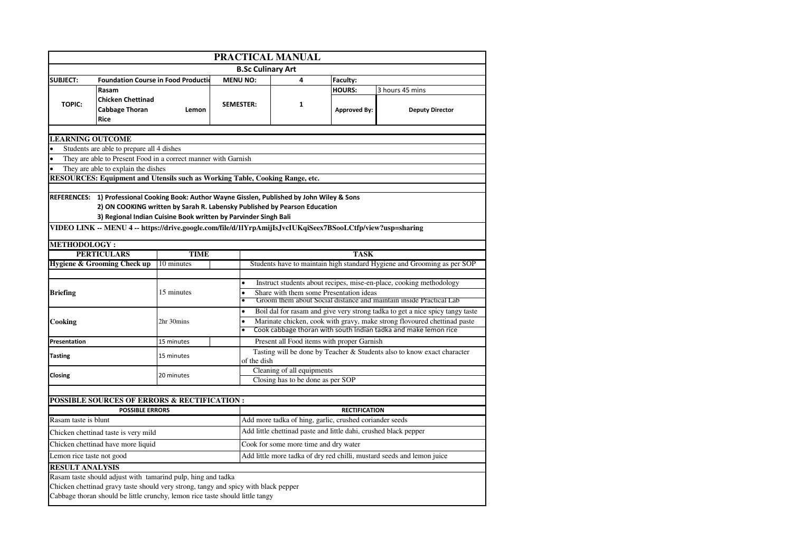| PRACTICAL MANUAL                                                                                    |                                                                                                                                                                      |             |                  |                                                                                                               |   |                                                                     |                                                                         |  |  |  |
|-----------------------------------------------------------------------------------------------------|----------------------------------------------------------------------------------------------------------------------------------------------------------------------|-------------|------------------|---------------------------------------------------------------------------------------------------------------|---|---------------------------------------------------------------------|-------------------------------------------------------------------------|--|--|--|
|                                                                                                     |                                                                                                                                                                      |             |                  | <b>B.Sc Culinary Art</b>                                                                                      |   |                                                                     |                                                                         |  |  |  |
| <b>SUBJECT:</b>                                                                                     | <b>Foundation Course in Food Production</b>                                                                                                                          |             | <b>MENU NO:</b>  |                                                                                                               | 4 | Faculty:                                                            |                                                                         |  |  |  |
|                                                                                                     | Rasam                                                                                                                                                                |             |                  |                                                                                                               |   | <b>HOURS:</b>                                                       | 3 hours 45 mins                                                         |  |  |  |
| <b>TOPIC:</b>                                                                                       | <b>Chicken Chettinad</b>                                                                                                                                             |             | <b>SEMESTER:</b> |                                                                                                               | 1 |                                                                     |                                                                         |  |  |  |
|                                                                                                     | <b>Cabbage Thoran</b>                                                                                                                                                | Lemon       |                  |                                                                                                               |   | <b>Approved By:</b>                                                 | <b>Deputy Director</b>                                                  |  |  |  |
|                                                                                                     | Rice                                                                                                                                                                 |             |                  |                                                                                                               |   |                                                                     |                                                                         |  |  |  |
| <b>LEARNING OUTCOME</b>                                                                             |                                                                                                                                                                      |             |                  |                                                                                                               |   |                                                                     |                                                                         |  |  |  |
|                                                                                                     | Students are able to prepare all 4 dishes                                                                                                                            |             |                  |                                                                                                               |   |                                                                     |                                                                         |  |  |  |
| They are able to Present Food in a correct manner with Garnish                                      |                                                                                                                                                                      |             |                  |                                                                                                               |   |                                                                     |                                                                         |  |  |  |
|                                                                                                     | They are able to explain the dishes                                                                                                                                  |             |                  |                                                                                                               |   |                                                                     |                                                                         |  |  |  |
|                                                                                                     | RESOURCES: Equipment and Utensils such as Working Table, Cooking Range, etc.                                                                                         |             |                  |                                                                                                               |   |                                                                     |                                                                         |  |  |  |
|                                                                                                     |                                                                                                                                                                      |             |                  |                                                                                                               |   |                                                                     |                                                                         |  |  |  |
|                                                                                                     | REFERENCES: 1) Professional Cooking Book: Author Wayne Gisslen, Published by John Wiley & Sons                                                                       |             |                  |                                                                                                               |   |                                                                     |                                                                         |  |  |  |
|                                                                                                     | 2) ON COOKING written by Sarah R. Labensky Published by Pearson Education<br>3) Regional Indian Cuisine Book written by Parvinder Singh Bali                         |             |                  |                                                                                                               |   |                                                                     |                                                                         |  |  |  |
|                                                                                                     | VIDEO LINK -- MENU 4 -- https://drive.google.com/file/d/1lYrpAmijIsJvcIUKqiSeex7BSooLCtfp/view?usp=sharing                                                           |             |                  |                                                                                                               |   |                                                                     |                                                                         |  |  |  |
|                                                                                                     |                                                                                                                                                                      |             |                  |                                                                                                               |   |                                                                     |                                                                         |  |  |  |
| <b>METHODOLOGY :</b>                                                                                |                                                                                                                                                                      |             |                  |                                                                                                               |   |                                                                     |                                                                         |  |  |  |
|                                                                                                     | <b>PERTICULARS</b>                                                                                                                                                   | <b>TIME</b> |                  |                                                                                                               |   | <b>TASK</b>                                                         |                                                                         |  |  |  |
|                                                                                                     | Hygiene & Grooming Check up                                                                                                                                          | 10 minutes  |                  |                                                                                                               |   |                                                                     | Students have to maintain high standard Hygiene and Grooming as per SOP |  |  |  |
|                                                                                                     |                                                                                                                                                                      | $\bullet$   |                  |                                                                                                               |   | Instruct students about recipes, mise-en-place, cooking methodology |                                                                         |  |  |  |
| <b>Briefing</b>                                                                                     |                                                                                                                                                                      | 15 minutes  | $\bullet$        | Share with them some Presentation ideas                                                                       |   |                                                                     |                                                                         |  |  |  |
|                                                                                                     |                                                                                                                                                                      |             | $\bullet$        | Groom them about Social distance and maintain inside Practical Lab                                            |   |                                                                     |                                                                         |  |  |  |
|                                                                                                     |                                                                                                                                                                      |             | $\bullet$        | Boil dal for rasam and give very strong tadka to get a nice spicy tangy taste                                 |   |                                                                     |                                                                         |  |  |  |
| Cooking                                                                                             |                                                                                                                                                                      | 2hr 30mins  | $\bullet$        | Marinate chicken, cook with gravy, make strong flovoured chettinad paste                                      |   |                                                                     |                                                                         |  |  |  |
|                                                                                                     |                                                                                                                                                                      |             |                  | Cook cabbage thoran with south Indian tadka and make lemon rice<br>Present all Food items with proper Garnish |   |                                                                     |                                                                         |  |  |  |
| Presentation                                                                                        |                                                                                                                                                                      | 15 minutes  |                  |                                                                                                               |   |                                                                     |                                                                         |  |  |  |
| <b>Tasting</b>                                                                                      |                                                                                                                                                                      | 15 minutes  |                  |                                                                                                               |   |                                                                     | Tasting will be done by Teacher & Students also to know exact character |  |  |  |
|                                                                                                     |                                                                                                                                                                      |             |                  | of the dish<br>Cleaning of all equipments                                                                     |   |                                                                     |                                                                         |  |  |  |
| Closing                                                                                             |                                                                                                                                                                      | 20 minutes  |                  | Closing has to be done as per SOP                                                                             |   |                                                                     |                                                                         |  |  |  |
|                                                                                                     |                                                                                                                                                                      |             |                  |                                                                                                               |   |                                                                     |                                                                         |  |  |  |
|                                                                                                     | <b>POSSIBLE SOURCES OF ERRORS &amp; RECTIFICATION:</b>                                                                                                               |             |                  |                                                                                                               |   |                                                                     |                                                                         |  |  |  |
|                                                                                                     | <b>POSSIBLE ERRORS</b>                                                                                                                                               |             |                  |                                                                                                               |   | <b>RECTIFICATION</b>                                                |                                                                         |  |  |  |
| Rasam taste is blunt                                                                                |                                                                                                                                                                      |             |                  |                                                                                                               |   | Add more tadka of hing, garlic, crushed coriander seeds             |                                                                         |  |  |  |
|                                                                                                     | Chicken chettinad taste is very mild                                                                                                                                 |             |                  |                                                                                                               |   |                                                                     | Add little chettinad paste and little dahi, crushed black pepper        |  |  |  |
|                                                                                                     | Chicken chettinad have more liquid                                                                                                                                   |             |                  | Cook for some more time and dry water                                                                         |   |                                                                     |                                                                         |  |  |  |
| Add little more tadka of dry red chilli, mustard seeds and lemon juice<br>Lemon rice taste not good |                                                                                                                                                                      |             |                  |                                                                                                               |   |                                                                     |                                                                         |  |  |  |
| <b>RESULT ANALYSIS</b>                                                                              |                                                                                                                                                                      |             |                  |                                                                                                               |   |                                                                     |                                                                         |  |  |  |
|                                                                                                     | Rasam taste should adjust with tamarind pulp, hing and tadka                                                                                                         |             |                  |                                                                                                               |   |                                                                     |                                                                         |  |  |  |
|                                                                                                     | Chicken chettinad gravy taste should very strong, tangy and spicy with black pepper<br>Cabbage thoran should be little crunchy, lemon rice taste should little tangy |             |                  |                                                                                                               |   |                                                                     |                                                                         |  |  |  |
|                                                                                                     |                                                                                                                                                                      |             |                  |                                                                                                               |   |                                                                     |                                                                         |  |  |  |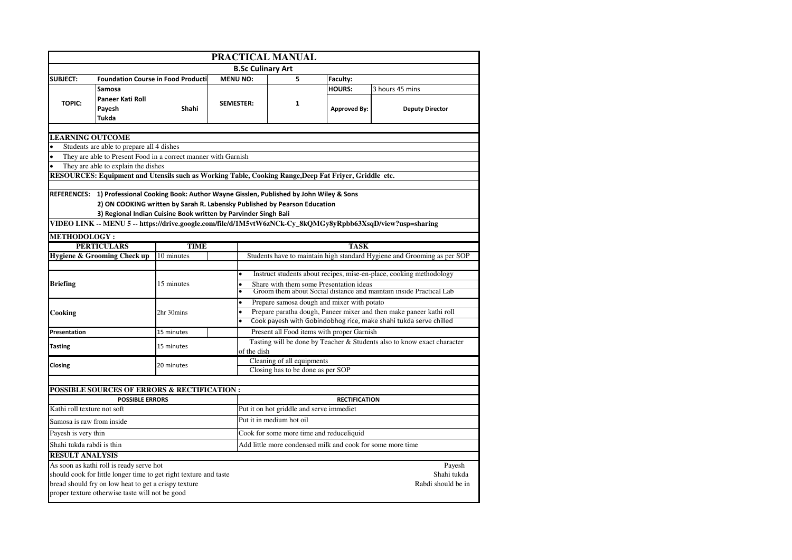| PRACTICAL MANUAL            |                                                                                                       |             |                          |                                                                                                                   |                                  |                                                                                                            |  |  |  |
|-----------------------------|-------------------------------------------------------------------------------------------------------|-------------|--------------------------|-------------------------------------------------------------------------------------------------------------------|----------------------------------|------------------------------------------------------------------------------------------------------------|--|--|--|
|                             |                                                                                                       |             | <b>B.Sc Culinary Art</b> |                                                                                                                   |                                  |                                                                                                            |  |  |  |
| <b>SUBJECT:</b>             | <b>Foundation Course in Food Producti</b>                                                             |             | <b>MENU NO:</b>          | 5                                                                                                                 | Faculty:                         |                                                                                                            |  |  |  |
|                             | Samosa                                                                                                |             |                          |                                                                                                                   | <b>HOURS:</b><br>3 hours 45 mins |                                                                                                            |  |  |  |
|                             | Paneer Kati Roll                                                                                      |             |                          |                                                                                                                   |                                  |                                                                                                            |  |  |  |
| <b>TOPIC:</b>               | Payesh                                                                                                | Shahi       | <b>SEMESTER:</b>         | $\mathbf{1}$                                                                                                      | <b>Approved By:</b>              | <b>Deputy Director</b>                                                                                     |  |  |  |
|                             | <b>Tukda</b>                                                                                          |             |                          |                                                                                                                   |                                  |                                                                                                            |  |  |  |
|                             |                                                                                                       |             |                          |                                                                                                                   |                                  |                                                                                                            |  |  |  |
| <b>LEARNING OUTCOME</b>     |                                                                                                       |             |                          |                                                                                                                   |                                  |                                                                                                            |  |  |  |
|                             | Students are able to prepare all 4 dishes                                                             |             |                          |                                                                                                                   |                                  |                                                                                                            |  |  |  |
|                             | They are able to Present Food in a correct manner with Garnish                                        |             |                          |                                                                                                                   |                                  |                                                                                                            |  |  |  |
|                             | They are able to explain the dishes                                                                   |             |                          |                                                                                                                   |                                  |                                                                                                            |  |  |  |
|                             | RESOURCES: Equipment and Utensils such as Working Table, Cooking Range, Deep Fat Friyer, Griddle etc. |             |                          |                                                                                                                   |                                  |                                                                                                            |  |  |  |
|                             | REFERENCES: 1) Professional Cooking Book: Author Wayne Gisslen, Published by John Wiley & Sons        |             |                          |                                                                                                                   |                                  |                                                                                                            |  |  |  |
|                             |                                                                                                       |             |                          | 2) ON COOKING written by Sarah R. Labensky Published by Pearson Education                                         |                                  |                                                                                                            |  |  |  |
|                             | 3) Regional Indian Cuisine Book written by Parvinder Singh Bali                                       |             |                          |                                                                                                                   |                                  |                                                                                                            |  |  |  |
|                             |                                                                                                       |             |                          |                                                                                                                   |                                  | VIDEO LINK -- MENU 5 -- https://drive.google.com/file/d/1M5vtW6zNCk-Cy_8kQMGy8yRpbb63XsqD/view?usp=sharing |  |  |  |
| <b>METHODOLOGY:</b>         |                                                                                                       |             |                          |                                                                                                                   |                                  |                                                                                                            |  |  |  |
|                             | <b>PERTICULARS</b>                                                                                    | <b>TIME</b> | <b>TASK</b>              |                                                                                                                   |                                  |                                                                                                            |  |  |  |
|                             | <b>Hygiene &amp; Grooming Check up</b>                                                                | 10 minutes  |                          |                                                                                                                   |                                  | Students have to maintain high standard Hygiene and Grooming as per SOP                                    |  |  |  |
|                             |                                                                                                       |             |                          |                                                                                                                   |                                  |                                                                                                            |  |  |  |
|                             |                                                                                                       |             | $\bullet$                | Instruct students about recipes, mise-en-place, cooking methodology                                               |                                  |                                                                                                            |  |  |  |
| <b>Briefing</b>             |                                                                                                       | 15 minutes  |                          | Share with them some Presentation ideas                                                                           |                                  |                                                                                                            |  |  |  |
|                             |                                                                                                       |             |                          |                                                                                                                   |                                  | Groom them about Social distance and maintain inside Practical Lab                                         |  |  |  |
|                             |                                                                                                       |             | $\bullet$                | Prepare samosa dough and mixer with potato<br>Prepare paratha dough, Paneer mixer and then make paneer kathi roll |                                  |                                                                                                            |  |  |  |
| Cooking                     |                                                                                                       | 2hr 30mins  |                          | Cook payesh with Gobindobhog rice, make shahi tukda serve chilled                                                 |                                  |                                                                                                            |  |  |  |
|                             |                                                                                                       |             |                          |                                                                                                                   |                                  |                                                                                                            |  |  |  |
| Presentation                |                                                                                                       | 15 minutes  |                          | Present all Food items with proper Garnish                                                                        |                                  |                                                                                                            |  |  |  |
| <b>Tasting</b>              |                                                                                                       | 15 minutes  |                          | Tasting will be done by Teacher & Students also to know exact character<br>of the dish                            |                                  |                                                                                                            |  |  |  |
|                             |                                                                                                       |             |                          | Cleaning of all equipments                                                                                        |                                  |                                                                                                            |  |  |  |
| Closing                     |                                                                                                       | 20 minutes  |                          | Closing has to be done as per SOP                                                                                 |                                  |                                                                                                            |  |  |  |
|                             |                                                                                                       |             |                          |                                                                                                                   |                                  |                                                                                                            |  |  |  |
|                             | POSSIBLE SOURCES OF ERRORS & RECTIFICATION :                                                          |             |                          |                                                                                                                   |                                  |                                                                                                            |  |  |  |
|                             | <b>POSSIBLE ERRORS</b>                                                                                |             |                          |                                                                                                                   | <b>RECTIFICATION</b>             |                                                                                                            |  |  |  |
| Kathi roll texture not soft |                                                                                                       |             |                          | Put it on hot griddle and serve immediet                                                                          |                                  |                                                                                                            |  |  |  |
| Samosa is raw from inside   |                                                                                                       |             |                          | Put it in medium hot oil                                                                                          |                                  |                                                                                                            |  |  |  |
| Payesh is very thin         |                                                                                                       |             |                          | Cook for some more time and reduceliquid                                                                          |                                  |                                                                                                            |  |  |  |
| Shahi tukda rabdi is thin   |                                                                                                       |             |                          | Add little more condensed milk and cook for some more time                                                        |                                  |                                                                                                            |  |  |  |
| <b>RESULT ANALYSIS</b>      |                                                                                                       |             |                          |                                                                                                                   |                                  |                                                                                                            |  |  |  |
|                             | As soon as kathi roll is ready serve hot                                                              |             |                          |                                                                                                                   |                                  | Payesh                                                                                                     |  |  |  |
|                             | should cook for little longer time to get right texture and taste                                     |             |                          | Shahi tukda                                                                                                       |                                  |                                                                                                            |  |  |  |
|                             | bread should fry on low heat to get a crispy texture                                                  |             |                          |                                                                                                                   |                                  | Rabdi should be in                                                                                         |  |  |  |
|                             | proper texture otherwise taste will not be good                                                       |             |                          |                                                                                                                   |                                  |                                                                                                            |  |  |  |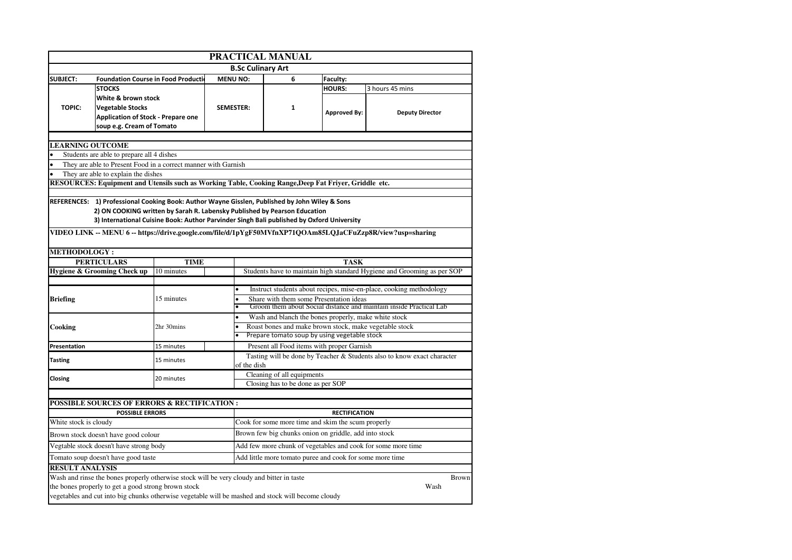|                         | PRACTICAL MANUAL                                                                                           |             |                  |                                                                                                        |                                                          |                      |                                                                         |              |  |  |
|-------------------------|------------------------------------------------------------------------------------------------------------|-------------|------------------|--------------------------------------------------------------------------------------------------------|----------------------------------------------------------|----------------------|-------------------------------------------------------------------------|--------------|--|--|
|                         |                                                                                                            |             |                  | <b>B.Sc Culinary Art</b>                                                                               |                                                          |                      |                                                                         |              |  |  |
| <b>SUBJECT:</b>         | <b>Foundation Course in Food Production</b>                                                                |             | <b>MENU NO:</b>  |                                                                                                        | 6                                                        | Faculty:             |                                                                         |              |  |  |
|                         | <b>STOCKS</b>                                                                                              |             |                  |                                                                                                        |                                                          | <b>HOURS:</b>        | 3 hours 45 mins                                                         |              |  |  |
|                         | White & brown stock                                                                                        |             |                  |                                                                                                        |                                                          |                      |                                                                         |              |  |  |
| <b>TOPIC:</b>           | <b>Vegetable Stocks</b>                                                                                    |             | <b>SEMESTER:</b> |                                                                                                        | 1                                                        |                      |                                                                         |              |  |  |
|                         | <b>Application of Stock - Prepare one</b>                                                                  |             |                  |                                                                                                        |                                                          | <b>Approved By:</b>  | <b>Deputy Director</b>                                                  |              |  |  |
|                         | soup e.g. Cream of Tomato                                                                                  |             |                  |                                                                                                        |                                                          |                      |                                                                         |              |  |  |
|                         |                                                                                                            |             |                  |                                                                                                        |                                                          |                      |                                                                         |              |  |  |
| <b>LEARNING OUTCOME</b> |                                                                                                            |             |                  |                                                                                                        |                                                          |                      |                                                                         |              |  |  |
|                         | Students are able to prepare all 4 dishes                                                                  |             |                  |                                                                                                        |                                                          |                      |                                                                         |              |  |  |
|                         | They are able to Present Food in a correct manner with Garnish                                             |             |                  |                                                                                                        |                                                          |                      |                                                                         |              |  |  |
|                         | They are able to explain the dishes                                                                        |             |                  |                                                                                                        |                                                          |                      |                                                                         |              |  |  |
|                         | RESOURCES: Equipment and Utensils such as Working Table, Cooking Range, Deep Fat Friyer, Griddle etc.      |             |                  |                                                                                                        |                                                          |                      |                                                                         |              |  |  |
|                         |                                                                                                            |             |                  |                                                                                                        |                                                          |                      |                                                                         |              |  |  |
|                         | REFERENCES: 1) Professional Cooking Book: Author Wayne Gisslen, Published by John Wiley & Sons             |             |                  |                                                                                                        |                                                          |                      |                                                                         |              |  |  |
|                         | 2) ON COOKING written by Sarah R. Labensky Published by Pearson Education                                  |             |                  |                                                                                                        |                                                          |                      |                                                                         |              |  |  |
|                         | 3) International Cuisine Book: Author Parvinder Singh Bali published by Oxford University                  |             |                  |                                                                                                        |                                                          |                      |                                                                         |              |  |  |
|                         | VIDEO LINK -- MENU 6 -- https://drive.google.com/file/d/1pYgF50MVfnXP71QOAm85LQJaCFuZzp8R/view?usp=sharing |             |                  |                                                                                                        |                                                          |                      |                                                                         |              |  |  |
| <b>METHODOLOGY :</b>    |                                                                                                            |             |                  |                                                                                                        |                                                          |                      |                                                                         |              |  |  |
|                         | <b>PERTICULARS</b>                                                                                         | <b>TIME</b> |                  |                                                                                                        |                                                          | <b>TASK</b>          |                                                                         |              |  |  |
|                         | Hygiene & Grooming Check up                                                                                | 10 minutes  |                  |                                                                                                        |                                                          |                      | Students have to maintain high standard Hygiene and Grooming as per SOP |              |  |  |
|                         |                                                                                                            |             |                  |                                                                                                        |                                                          |                      |                                                                         |              |  |  |
|                         |                                                                                                            |             |                  |                                                                                                        |                                                          |                      | Instruct students about recipes, mise-en-place, cooking methodology     |              |  |  |
| Briefing                |                                                                                                            | 15 minutes  |                  |                                                                                                        | Share with them some Presentation ideas                  |                      |                                                                         |              |  |  |
|                         |                                                                                                            |             |                  |                                                                                                        |                                                          |                      | Groom them about Social distance and maintain inside Practical Lab      |              |  |  |
|                         |                                                                                                            |             |                  | Wash and blanch the bones properly, make white stock<br>$\bullet$                                      |                                                          |                      |                                                                         |              |  |  |
| Cooking                 |                                                                                                            | 2hr 30mins  |                  | Roast bones and make brown stock, make vegetable stock<br>Prepare tomato soup by using vegetable stock |                                                          |                      |                                                                         |              |  |  |
|                         |                                                                                                            |             |                  |                                                                                                        |                                                          |                      |                                                                         |              |  |  |
| Presentation            |                                                                                                            | 15 minutes  |                  |                                                                                                        | Present all Food items with proper Garnish               |                      |                                                                         |              |  |  |
| <b>Tasting</b>          |                                                                                                            | 15 minutes  |                  |                                                                                                        |                                                          |                      | Tasting will be done by Teacher & Students also to know exact character |              |  |  |
|                         |                                                                                                            |             |                  |                                                                                                        | of the dish                                              |                      |                                                                         |              |  |  |
| Closing                 |                                                                                                            | 20 minutes  |                  |                                                                                                        | Cleaning of all equipments                               |                      |                                                                         |              |  |  |
|                         |                                                                                                            |             |                  |                                                                                                        | Closing has to be done as per SOP                        |                      |                                                                         |              |  |  |
|                         |                                                                                                            |             |                  |                                                                                                        |                                                          |                      |                                                                         |              |  |  |
|                         | <b>POSSIBLE SOURCES OF ERRORS &amp; RECTIFICATION :</b>                                                    |             |                  |                                                                                                        |                                                          | <b>RECTIFICATION</b> |                                                                         |              |  |  |
| White stock is cloudy   | <b>POSSIBLE ERRORS</b>                                                                                     |             |                  |                                                                                                        | Cook for some more time and skim the scum properly       |                      |                                                                         |              |  |  |
|                         |                                                                                                            |             |                  |                                                                                                        |                                                          |                      |                                                                         |              |  |  |
|                         | Brown stock doesn't have good colour<br>Vegtable stock doesn't have strong body                            |             |                  |                                                                                                        | Brown few big chunks onion on griddle, add into stock    |                      | Add few more chunk of vegetables and cook for some more time            |              |  |  |
|                         |                                                                                                            |             |                  |                                                                                                        |                                                          |                      |                                                                         |              |  |  |
|                         | Tomato soup doesn't have good taste                                                                        |             |                  |                                                                                                        | Add little more tomato puree and cook for some more time |                      |                                                                         |              |  |  |
| <b>RESULT ANALYSIS</b>  |                                                                                                            |             |                  |                                                                                                        |                                                          |                      |                                                                         |              |  |  |
|                         | Wash and rinse the bones properly otherwise stock will be very cloudy and bitter in taste                  |             |                  |                                                                                                        |                                                          |                      |                                                                         | <b>Brown</b> |  |  |
|                         | the bones properly to get a good strong brown stock                                                        |             |                  |                                                                                                        |                                                          |                      |                                                                         | Wash         |  |  |
|                         | vegetables and cut into big chunks otherwise vegetable will be mashed and stock will become cloudy         |             |                  |                                                                                                        |                                                          |                      |                                                                         |              |  |  |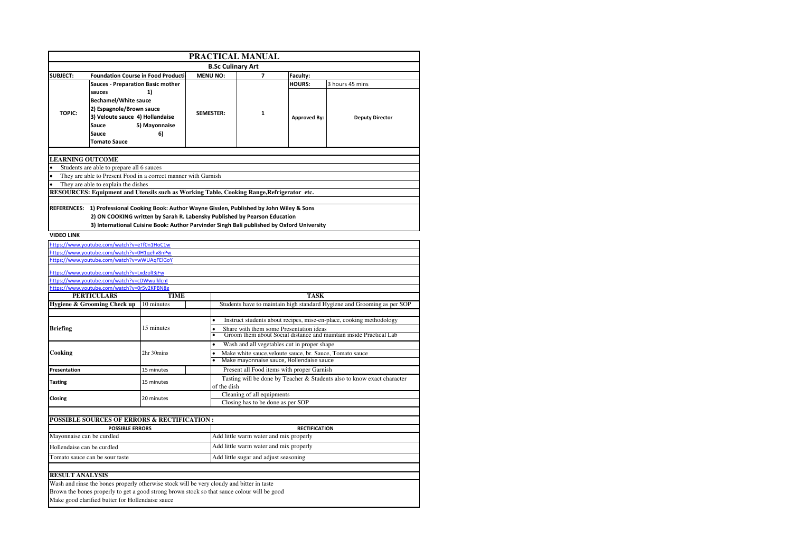|                                                                     | <b>PRACTICAL MANUAL</b>                                                                                                                                                                                                                                                  |                     |                  |                                                                    |                                                                                                      |                     |                                                                         |  |  |  |
|---------------------------------------------------------------------|--------------------------------------------------------------------------------------------------------------------------------------------------------------------------------------------------------------------------------------------------------------------------|---------------------|------------------|--------------------------------------------------------------------|------------------------------------------------------------------------------------------------------|---------------------|-------------------------------------------------------------------------|--|--|--|
|                                                                     | <b>B.Sc Culinary Art</b>                                                                                                                                                                                                                                                 |                     |                  |                                                                    |                                                                                                      |                     |                                                                         |  |  |  |
| <b>SUBJECT:</b>                                                     | <b>Foundation Course in Food Producti</b>                                                                                                                                                                                                                                |                     | <b>MENU NO:</b>  |                                                                    | $\overline{ }$                                                                                       | Faculty:            |                                                                         |  |  |  |
|                                                                     | <b>Sauces - Preparation Basic mother</b><br>sauces<br><b>Bechamel/White sauce</b>                                                                                                                                                                                        | 1)                  |                  |                                                                    |                                                                                                      | HOURS:              | 3 hours 45 mins                                                         |  |  |  |
| <b>TOPIC:</b>                                                       | 2) Espagnole/Brown sauce<br>3) Veloute sauce 4) Hollandaise<br>Sauce<br>Sauce<br><b>Tomato Sauce</b>                                                                                                                                                                     | 5) Mayonnaise<br>6) | <b>SEMESTER:</b> |                                                                    | $\mathbf{1}$                                                                                         | <b>Approved By:</b> | <b>Deputy Director</b>                                                  |  |  |  |
|                                                                     |                                                                                                                                                                                                                                                                          |                     |                  |                                                                    |                                                                                                      |                     |                                                                         |  |  |  |
| <b>LEARNING OUTCOME</b>                                             |                                                                                                                                                                                                                                                                          |                     |                  |                                                                    |                                                                                                      |                     |                                                                         |  |  |  |
|                                                                     | Students are able to prepare all 6 sauces                                                                                                                                                                                                                                |                     |                  |                                                                    |                                                                                                      |                     |                                                                         |  |  |  |
|                                                                     | They are able to Present Food in a correct manner with Garnish<br>They are able to explain the dishes                                                                                                                                                                    |                     |                  |                                                                    |                                                                                                      |                     |                                                                         |  |  |  |
|                                                                     | RESOURCES: Equipment and Utensils such as Working Table, Cooking Range, Refrigerator etc.                                                                                                                                                                                |                     |                  |                                                                    |                                                                                                      |                     |                                                                         |  |  |  |
|                                                                     |                                                                                                                                                                                                                                                                          |                     |                  |                                                                    |                                                                                                      |                     |                                                                         |  |  |  |
|                                                                     | REFERENCES: 1) Professional Cooking Book: Author Wayne Gisslen, Published by John Wiley & Sons<br>2) ON COOKING written by Sarah R. Labensky Published by Pearson Education<br>3) International Cuisine Book: Author Parvinder Singh Bali published by Oxford University |                     |                  |                                                                    |                                                                                                      |                     |                                                                         |  |  |  |
| <b>VIDEO LINK</b>                                                   |                                                                                                                                                                                                                                                                          |                     |                  |                                                                    |                                                                                                      |                     |                                                                         |  |  |  |
|                                                                     | https://www.youtube.com/watch?v=eTf0n1HoC1w                                                                                                                                                                                                                              |                     |                  |                                                                    |                                                                                                      |                     |                                                                         |  |  |  |
|                                                                     | https://www.youtube.com/watch?v=0H1qehv8nPw                                                                                                                                                                                                                              |                     |                  |                                                                    |                                                                                                      |                     |                                                                         |  |  |  |
|                                                                     | https://www.youtube.com/watch?v=wWUAqFElGoY                                                                                                                                                                                                                              |                     |                  |                                                                    |                                                                                                      |                     |                                                                         |  |  |  |
|                                                                     | https://www.youtube.com/watch?v=LxdzolI3jFw                                                                                                                                                                                                                              |                     |                  |                                                                    |                                                                                                      |                     |                                                                         |  |  |  |
|                                                                     | https://www.youtube.com/watch?v=cDWwulklcnI                                                                                                                                                                                                                              |                     |                  |                                                                    |                                                                                                      |                     |                                                                         |  |  |  |
|                                                                     | https://www.youtube.com/watch?v=0r5v2KPBN8g                                                                                                                                                                                                                              |                     |                  |                                                                    |                                                                                                      |                     |                                                                         |  |  |  |
|                                                                     | <b>PERTICULARS</b><br>Hygiene & Grooming Check up 10 minutes                                                                                                                                                                                                             | <b>TIME</b>         |                  |                                                                    |                                                                                                      | <b>TASK</b>         | Students have to maintain high standard Hygiene and Grooming as per SOP |  |  |  |
|                                                                     |                                                                                                                                                                                                                                                                          |                     |                  |                                                                    |                                                                                                      |                     |                                                                         |  |  |  |
|                                                                     |                                                                                                                                                                                                                                                                          |                     |                  |                                                                    | Instruct students about recipes, mise-en-place, cooking methodology                                  |                     |                                                                         |  |  |  |
| <b>Briefing</b>                                                     |                                                                                                                                                                                                                                                                          | 15 minutes          |                  | Share with them some Presentation ideas                            |                                                                                                      |                     |                                                                         |  |  |  |
|                                                                     |                                                                                                                                                                                                                                                                          |                     |                  | Groom them about Social distance and maintain inside Practical Lab |                                                                                                      |                     |                                                                         |  |  |  |
|                                                                     |                                                                                                                                                                                                                                                                          |                     |                  |                                                                    | Wash and all vegetables cut in proper shape                                                          |                     |                                                                         |  |  |  |
| Cooking                                                             |                                                                                                                                                                                                                                                                          | 2hr 30mins          |                  |                                                                    | Make white sauce, veloute sauce, br. Sauce, Tomato sauce<br>Make mayonnaise sauce, Hollendaise sauce |                     |                                                                         |  |  |  |
| Presentation                                                        |                                                                                                                                                                                                                                                                          | 15 minutes          |                  |                                                                    | Present all Food items with proper Garnish                                                           |                     |                                                                         |  |  |  |
| <b>Tasting</b>                                                      |                                                                                                                                                                                                                                                                          | 15 minutes          |                  | of the dish                                                        |                                                                                                      |                     | Tasting will be done by Teacher & Students also to know exact character |  |  |  |
| Closing                                                             |                                                                                                                                                                                                                                                                          | 20 minutes          |                  |                                                                    | Cleaning of all equipments                                                                           |                     |                                                                         |  |  |  |
|                                                                     |                                                                                                                                                                                                                                                                          |                     |                  |                                                                    | Closing has to be done as per SOP                                                                    |                     |                                                                         |  |  |  |
|                                                                     |                                                                                                                                                                                                                                                                          |                     |                  |                                                                    |                                                                                                      |                     |                                                                         |  |  |  |
|                                                                     | <b>POSSIBLE SOURCES OF ERRORS &amp; RECTIFICATION:</b>                                                                                                                                                                                                                   |                     |                  |                                                                    |                                                                                                      |                     |                                                                         |  |  |  |
| <b>POSSIBLE ERRORS</b><br><b>RECTIFICATION</b>                      |                                                                                                                                                                                                                                                                          |                     |                  |                                                                    |                                                                                                      |                     |                                                                         |  |  |  |
| Mayonnaise can be curdled<br>Add little warm water and mix properly |                                                                                                                                                                                                                                                                          |                     |                  |                                                                    |                                                                                                      |                     |                                                                         |  |  |  |
| Hollendaise can be curdled                                          |                                                                                                                                                                                                                                                                          |                     |                  |                                                                    | Add little warm water and mix properly                                                               |                     |                                                                         |  |  |  |
|                                                                     | Tomato sauce can be sour taste                                                                                                                                                                                                                                           |                     |                  |                                                                    | Add little sugar and adjust seasoning                                                                |                     |                                                                         |  |  |  |
| <b>RESULT ANALYSIS</b>                                              |                                                                                                                                                                                                                                                                          |                     |                  |                                                                    |                                                                                                      |                     |                                                                         |  |  |  |

Wash and rinse the bones properly otherwise stock will be very cloudy and bitter in taste Brown the bones properly to get a good strong brown stock so that sauce colour will be good Make good clarified butter for Hollendaise sauce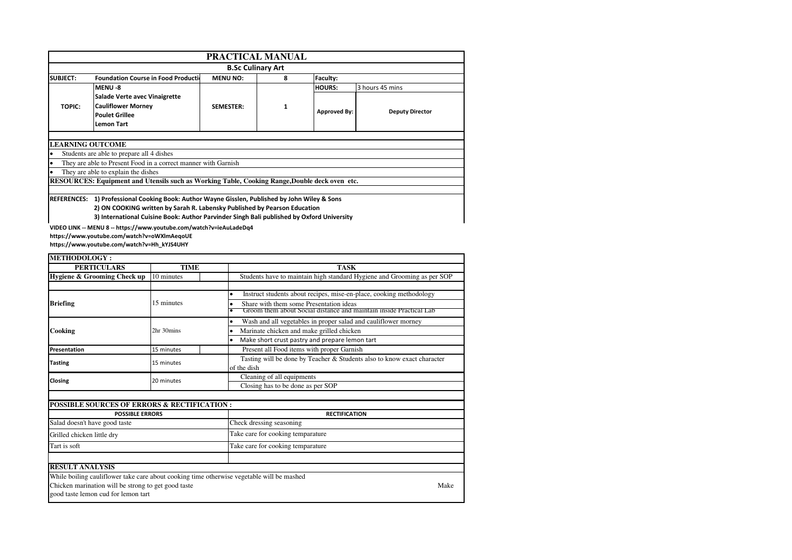| PRACTICAL MANUAL                                                                                                                                                                                                                                                                   |                                                                                                          |                  |   |                     |                        |  |  |
|------------------------------------------------------------------------------------------------------------------------------------------------------------------------------------------------------------------------------------------------------------------------------------|----------------------------------------------------------------------------------------------------------|------------------|---|---------------------|------------------------|--|--|
| <b>B.Sc Culinary Art</b>                                                                                                                                                                                                                                                           |                                                                                                          |                  |   |                     |                        |  |  |
| <b>SUBJECT:</b>                                                                                                                                                                                                                                                                    | <b>Foundation Course in Food Production</b><br><b>MENU NO:</b><br>Faculty:<br>8                          |                  |   |                     |                        |  |  |
|                                                                                                                                                                                                                                                                                    | MENU-8                                                                                                   |                  |   | <b>HOURS:</b>       | 3 hours 45 mins        |  |  |
| <b>TOPIC:</b>                                                                                                                                                                                                                                                                      | Salade Verte avec Vinaigrette<br><b>Cauliflower Morney</b><br><b>Poulet Grillee</b><br><b>Lemon Tart</b> | <b>SEMESTER:</b> | 1 | <b>Approved By:</b> | <b>Deputy Director</b> |  |  |
|                                                                                                                                                                                                                                                                                    | <b>LEARNING OUTCOME</b>                                                                                  |                  |   |                     |                        |  |  |
|                                                                                                                                                                                                                                                                                    | Students are able to prepare all 4 dishes                                                                |                  |   |                     |                        |  |  |
|                                                                                                                                                                                                                                                                                    | They are able to Present Food in a correct manner with Garnish                                           |                  |   |                     |                        |  |  |
|                                                                                                                                                                                                                                                                                    | They are able to explain the dishes                                                                      |                  |   |                     |                        |  |  |
| RESOURCES: Equipment and Utensils such as Working Table, Cooking Range,Double deck oven etc.                                                                                                                                                                                       |                                                                                                          |                  |   |                     |                        |  |  |
|                                                                                                                                                                                                                                                                                    |                                                                                                          |                  |   |                     |                        |  |  |
| <b>REFERENCES:</b><br>1) Professional Cooking Book: Author Wayne Gisslen, Published by John Wiley & Sons<br>2) ON COOKING written by Sarah R. Labensky Published by Pearson Education<br>3) International Cuisine Book: Author Parvinder Singh Bali published by Oxford University |                                                                                                          |                  |   |                     |                        |  |  |

**VIDEO LINK -- MENU 8 -- https://www.youtube.com/watch?v=ieAuLadeDq4 https://www.youtube.com/watch?v=oWXlmAeqoUE** 

**https://www.youtube.com/watch?v=Hh\_kYJS4UHY**

| <b>METHODOLOGY:</b>                                                                                                                                                                     |                                                                                                                                                                            |                                                                                                                                                                                      |  |  |  |  |
|-----------------------------------------------------------------------------------------------------------------------------------------------------------------------------------------|----------------------------------------------------------------------------------------------------------------------------------------------------------------------------|--------------------------------------------------------------------------------------------------------------------------------------------------------------------------------------|--|--|--|--|
| <b>PERTICULARS</b>                                                                                                                                                                      | <b>TIME</b>                                                                                                                                                                | <b>TASK</b>                                                                                                                                                                          |  |  |  |  |
| Hygiene & Grooming Check up                                                                                                                                                             | 10 minutes                                                                                                                                                                 | Students have to maintain high standard Hygiene and Grooming as per SOP                                                                                                              |  |  |  |  |
| <b>Briefing</b>                                                                                                                                                                         | 15 minutes                                                                                                                                                                 | Instruct students about recipes, mise-en-place, cooking methodology<br>Share with them some Presentation ideas<br>Groom them about Social distance and maintain inside Practical Lab |  |  |  |  |
| Cooking                                                                                                                                                                                 | Wash and all vegetables in proper salad and cauliflower morney<br>$\bullet$<br>Marinate chicken and make grilled chicken<br>Make short crust pastry and prepare lemon tart |                                                                                                                                                                                      |  |  |  |  |
| Presentation                                                                                                                                                                            | 15 minutes                                                                                                                                                                 | Present all Food items with proper Garnish                                                                                                                                           |  |  |  |  |
| <b>Tasting</b>                                                                                                                                                                          | 15 minutes                                                                                                                                                                 | Tasting will be done by Teacher & Students also to know exact character<br>of the dish                                                                                               |  |  |  |  |
| Closing                                                                                                                                                                                 | 20 minutes                                                                                                                                                                 | Cleaning of all equipments<br>Closing has to be done as per SOP                                                                                                                      |  |  |  |  |
| <b>POSSIBLE SOURCES OF ERRORS &amp; RECTIFICATION:</b>                                                                                                                                  |                                                                                                                                                                            |                                                                                                                                                                                      |  |  |  |  |
| <b>POSSIBLE ERRORS</b>                                                                                                                                                                  |                                                                                                                                                                            | <b>RECTIFICATION</b>                                                                                                                                                                 |  |  |  |  |
| Salad doesn't have good taste                                                                                                                                                           |                                                                                                                                                                            | Check dressing seasoning                                                                                                                                                             |  |  |  |  |
| Grilled chicken little dry                                                                                                                                                              |                                                                                                                                                                            | Take care for cooking temparature                                                                                                                                                    |  |  |  |  |
| Tart is soft                                                                                                                                                                            |                                                                                                                                                                            | Take care for cooking temparature                                                                                                                                                    |  |  |  |  |
| <b>RESULT ANALYSIS</b>                                                                                                                                                                  |                                                                                                                                                                            |                                                                                                                                                                                      |  |  |  |  |
| While boiling cauliflower take care about cooking time otherwise vegetable will be mashed<br>Chicken marination will be strong to get good taste<br>good taste lemon cud for lemon tart |                                                                                                                                                                            | Make                                                                                                                                                                                 |  |  |  |  |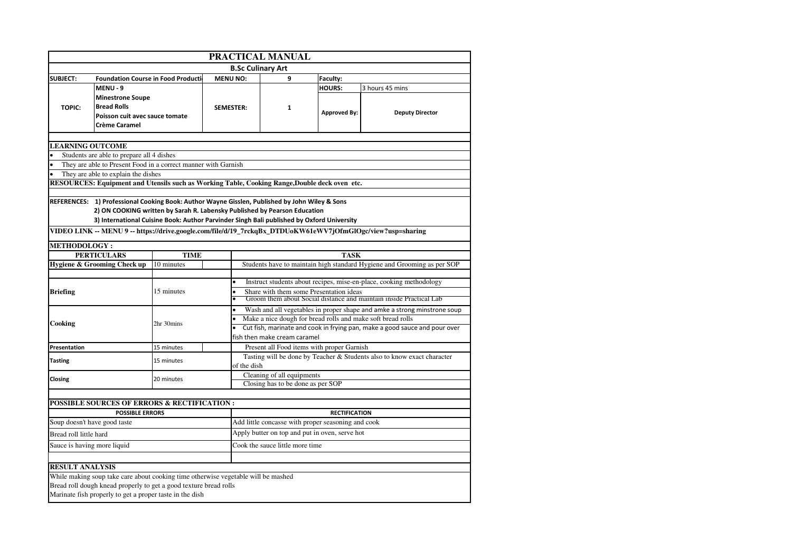| PRACTICAL MANUAL                                               |                                                                                                |             |                 |                                                                                  |                                            |                     |                                                                                                            |  |  |
|----------------------------------------------------------------|------------------------------------------------------------------------------------------------|-------------|-----------------|----------------------------------------------------------------------------------|--------------------------------------------|---------------------|------------------------------------------------------------------------------------------------------------|--|--|
|                                                                |                                                                                                |             |                 | <b>B.Sc Culinary Art</b>                                                         |                                            |                     |                                                                                                            |  |  |
| <b>SUBJECT:</b><br><b>Foundation Course in Food Production</b> |                                                                                                |             | <b>MENU NO:</b> |                                                                                  | 9                                          | Faculty:            |                                                                                                            |  |  |
|                                                                | MENU - 9                                                                                       |             |                 |                                                                                  |                                            | <b>HOURS:</b>       | 3 hours 45 mins                                                                                            |  |  |
|                                                                | <b>Minestrone Soupe</b>                                                                        |             |                 |                                                                                  |                                            |                     |                                                                                                            |  |  |
| TOPIC:                                                         | <b>Bread Rolls</b>                                                                             |             |                 | <b>SEMESTER:</b>                                                                 | $\mathbf{1}$                               |                     |                                                                                                            |  |  |
|                                                                | Poisson cuit avec sauce tomate                                                                 |             |                 |                                                                                  |                                            | <b>Approved By:</b> | <b>Deputy Director</b>                                                                                     |  |  |
|                                                                | Crème Caramel                                                                                  |             |                 |                                                                                  |                                            |                     |                                                                                                            |  |  |
|                                                                |                                                                                                |             |                 |                                                                                  |                                            |                     |                                                                                                            |  |  |
| <b>LEARNING OUTCOME</b>                                        |                                                                                                |             |                 |                                                                                  |                                            |                     |                                                                                                            |  |  |
|                                                                | Students are able to prepare all 4 dishes                                                      |             |                 |                                                                                  |                                            |                     |                                                                                                            |  |  |
|                                                                | They are able to Present Food in a correct manner with Garnish                                 |             |                 |                                                                                  |                                            |                     |                                                                                                            |  |  |
|                                                                | They are able to explain the dishes                                                            |             |                 |                                                                                  |                                            |                     |                                                                                                            |  |  |
|                                                                | RESOURCES: Equipment and Utensils such as Working Table, Cooking Range, Double deck oven etc.  |             |                 |                                                                                  |                                            |                     |                                                                                                            |  |  |
|                                                                | REFERENCES: 1) Professional Cooking Book: Author Wayne Gisslen, Published by John Wiley & Sons |             |                 |                                                                                  |                                            |                     |                                                                                                            |  |  |
|                                                                | 2) ON COOKING written by Sarah R. Labensky Published by Pearson Education                      |             |                 |                                                                                  |                                            |                     |                                                                                                            |  |  |
|                                                                | 3) International Cuisine Book: Author Parvinder Singh Bali published by Oxford University      |             |                 |                                                                                  |                                            |                     |                                                                                                            |  |  |
|                                                                |                                                                                                |             |                 |                                                                                  |                                            |                     | VIDEO LINK -- MENU 9 -- https://drive.google.com/file/d/19_7rckqBx_DTDUoKW61eWV7jOfmGlOgc/view?usp=sharing |  |  |
|                                                                |                                                                                                |             |                 |                                                                                  |                                            |                     |                                                                                                            |  |  |
| <b>METHODOLOGY:</b>                                            |                                                                                                |             |                 |                                                                                  |                                            |                     |                                                                                                            |  |  |
|                                                                | <b>PERTICULARS</b>                                                                             | <b>TIME</b> |                 | <b>TASK</b>                                                                      |                                            |                     |                                                                                                            |  |  |
|                                                                | <b>Hygiene &amp; Grooming Check up</b>                                                         | 10 minutes  |                 |                                                                                  |                                            |                     | Students have to maintain high standard Hygiene and Grooming as per SOP                                    |  |  |
|                                                                |                                                                                                |             |                 | Instruct students about recipes, mise-en-place, cooking methodology<br>$\bullet$ |                                            |                     |                                                                                                            |  |  |
| Briefing                                                       |                                                                                                | 15 minutes  |                 | Share with them some Presentation ideas<br>$\bullet$                             |                                            |                     |                                                                                                            |  |  |
|                                                                |                                                                                                |             |                 | Groom them about Social distance and maintain inside Practical Lab               |                                            |                     |                                                                                                            |  |  |
|                                                                |                                                                                                |             |                 | $\bullet$                                                                        |                                            |                     | Wash and all vegetables in proper shape and amke a strong minstrone soup                                   |  |  |
|                                                                |                                                                                                |             |                 | Make a nice dough for bread rolls and make soft bread rolls                      |                                            |                     |                                                                                                            |  |  |
| Cooking                                                        |                                                                                                | 2hr 30mins  |                 | Cut fish, marinate and cook in frying pan, make a good sauce and pour over       |                                            |                     |                                                                                                            |  |  |
|                                                                |                                                                                                |             |                 | fish then make cream caramel                                                     |                                            |                     |                                                                                                            |  |  |
| Presentation                                                   |                                                                                                | 15 minutes  |                 |                                                                                  | Present all Food items with proper Garnish |                     |                                                                                                            |  |  |
| <b>Tasting</b>                                                 |                                                                                                | 15 minutes  |                 | Tasting will be done by Teacher & Students also to know exact character          |                                            |                     |                                                                                                            |  |  |
|                                                                |                                                                                                |             |                 | of the dish                                                                      |                                            |                     |                                                                                                            |  |  |
| Closing                                                        |                                                                                                | 20 minutes  |                 | Cleaning of all equipments                                                       |                                            |                     |                                                                                                            |  |  |
|                                                                |                                                                                                |             |                 | Closing has to be done as per SOP                                                |                                            |                     |                                                                                                            |  |  |
|                                                                |                                                                                                |             |                 |                                                                                  |                                            |                     |                                                                                                            |  |  |
|                                                                | <b>POSSIBLE SOURCES OF ERRORS &amp; RECTIFICATION :</b>                                        |             |                 |                                                                                  |                                            |                     |                                                                                                            |  |  |
| <b>POSSIBLE ERRORS</b>                                         |                                                                                                |             |                 | <b>RECTIFICATION</b>                                                             |                                            |                     |                                                                                                            |  |  |
| Soup doesn't have good taste                                   |                                                                                                |             |                 | Add little concasse with proper seasoning and cook                               |                                            |                     |                                                                                                            |  |  |
| Bread roll little hard                                         |                                                                                                |             |                 | Apply butter on top and put in oven, serve hot                                   |                                            |                     |                                                                                                            |  |  |
| Sauce is having more liquid                                    |                                                                                                |             |                 | Cook the sauce little more time                                                  |                                            |                     |                                                                                                            |  |  |
|                                                                |                                                                                                |             |                 |                                                                                  |                                            |                     |                                                                                                            |  |  |
| <b>RESULT ANALYSIS</b>                                         |                                                                                                |             |                 |                                                                                  |                                            |                     |                                                                                                            |  |  |
|                                                                | While making soup take care about cooking time otherwise vegetable will be mashed              |             |                 |                                                                                  |                                            |                     |                                                                                                            |  |  |
|                                                                | Bread roll dough knead properly to get a good texture bread rolls                              |             |                 |                                                                                  |                                            |                     |                                                                                                            |  |  |
|                                                                | Marinate fish properly to get a proper taste in the dish                                       |             |                 |                                                                                  |                                            |                     |                                                                                                            |  |  |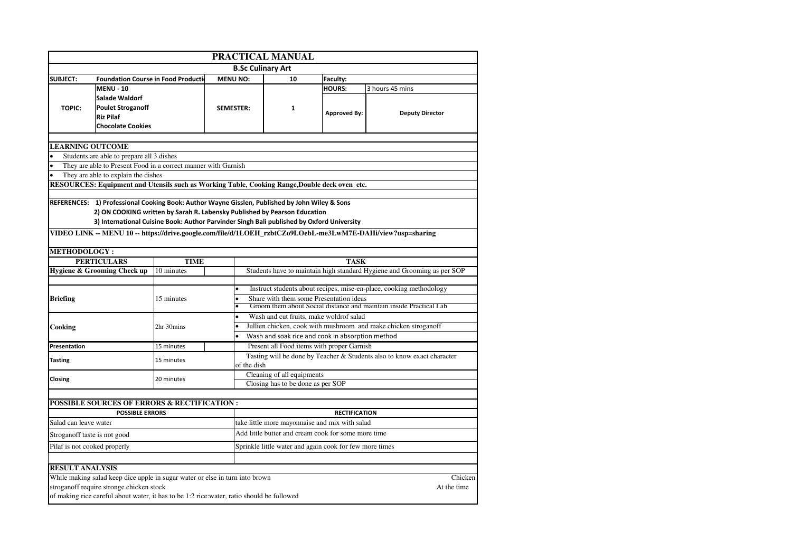| PRACTICAL MANUAL             |                                                                                                                          |             |                  |                                                                                                |                      |                                                                                                             |  |
|------------------------------|--------------------------------------------------------------------------------------------------------------------------|-------------|------------------|------------------------------------------------------------------------------------------------|----------------------|-------------------------------------------------------------------------------------------------------------|--|
|                              |                                                                                                                          |             |                  | <b>B.Sc Culinary Art</b>                                                                       |                      |                                                                                                             |  |
| <b>SUBJECT:</b>              | <b>Foundation Course in Food Production</b><br><b>MENU NO:</b>                                                           |             |                  | 10                                                                                             | Faculty:             |                                                                                                             |  |
|                              | <b>MENU - 10</b>                                                                                                         |             |                  |                                                                                                | <b>HOURS:</b>        | 3 hours 45 mins                                                                                             |  |
|                              | <b>Salade Waldorf</b>                                                                                                    |             |                  |                                                                                                |                      |                                                                                                             |  |
| <b>TOPIC:</b>                | <b>Poulet Stroganoff</b><br><b>Riz Pilaf</b>                                                                             |             | <b>SEMESTER:</b> | 1                                                                                              |                      |                                                                                                             |  |
|                              |                                                                                                                          |             |                  |                                                                                                | <b>Approved By:</b>  | <b>Deputy Director</b>                                                                                      |  |
| <b>Chocolate Cookies</b>     |                                                                                                                          |             |                  |                                                                                                |                      |                                                                                                             |  |
|                              |                                                                                                                          |             |                  |                                                                                                |                      |                                                                                                             |  |
| <b>LEARNING OUTCOME</b>      |                                                                                                                          |             |                  |                                                                                                |                      |                                                                                                             |  |
|                              | Students are able to prepare all 3 dishes                                                                                |             |                  |                                                                                                |                      |                                                                                                             |  |
|                              | They are able to Present Food in a correct manner with Garnish                                                           |             |                  |                                                                                                |                      |                                                                                                             |  |
|                              | They are able to explain the dishes                                                                                      |             |                  |                                                                                                |                      |                                                                                                             |  |
|                              |                                                                                                                          |             |                  | RESOURCES: Equipment and Utensils such as Working Table, Cooking Range, Double deck oven etc.  |                      |                                                                                                             |  |
|                              |                                                                                                                          |             |                  |                                                                                                |                      |                                                                                                             |  |
|                              |                                                                                                                          |             |                  | REFERENCES: 1) Professional Cooking Book: Author Wayne Gisslen, Published by John Wiley & Sons |                      |                                                                                                             |  |
|                              |                                                                                                                          |             |                  | 2) ON COOKING written by Sarah R. Labensky Published by Pearson Education                      |                      |                                                                                                             |  |
|                              |                                                                                                                          |             |                  | 3) International Cuisine Book: Author Parvinder Singh Bali published by Oxford University      |                      |                                                                                                             |  |
|                              |                                                                                                                          |             |                  |                                                                                                |                      | VIDEO LINK -- MENU 10 -- https://drive.google.com/file/d/1LOEH_rzbtCZo9LOebL-me3LwM7E-DAHi/view?usp=sharing |  |
| <b>METHODOLOGY :</b>         |                                                                                                                          |             |                  |                                                                                                |                      |                                                                                                             |  |
|                              | <b>PERTICULARS</b>                                                                                                       | <b>TIME</b> |                  | <b>TASK</b>                                                                                    |                      |                                                                                                             |  |
|                              | Hygiene & Grooming Check up                                                                                              | 10 minutes  |                  |                                                                                                |                      | Students have to maintain high standard Hygiene and Grooming as per SOP                                     |  |
|                              |                                                                                                                          |             |                  |                                                                                                |                      |                                                                                                             |  |
|                              |                                                                                                                          |             |                  |                                                                                                |                      | Instruct students about recipes, mise-en-place, cooking methodology                                         |  |
|                              |                                                                                                                          |             |                  |                                                                                                |                      |                                                                                                             |  |
| <b>Briefing</b>              |                                                                                                                          | 15 minutes  |                  | Share with them some Presentation ideas                                                        |                      |                                                                                                             |  |
|                              |                                                                                                                          |             |                  |                                                                                                |                      | Groom them about Social distance and maintain inside Practical Lab                                          |  |
|                              |                                                                                                                          |             |                  | Wash and cut fruits, make woldrof salad                                                        |                      |                                                                                                             |  |
| Cooking                      |                                                                                                                          | 2hr 30mins  |                  |                                                                                                |                      | Jullien chicken, cook with mushroom and make chicken stroganoff                                             |  |
|                              |                                                                                                                          |             |                  | Wash and soak rice and cook in absorption method                                               |                      |                                                                                                             |  |
| Presentation                 |                                                                                                                          | 15 minutes  |                  | Present all Food items with proper Garnish                                                     |                      |                                                                                                             |  |
| <b>Tasting</b>               |                                                                                                                          | 15 minutes  |                  |                                                                                                |                      | Tasting will be done by Teacher & Students also to know exact character                                     |  |
|                              |                                                                                                                          |             | of the dish      |                                                                                                |                      |                                                                                                             |  |
| Closing                      |                                                                                                                          | 20 minutes  |                  | Cleaning of all equipments                                                                     |                      |                                                                                                             |  |
|                              |                                                                                                                          |             |                  | Closing has to be done as per SOP                                                              |                      |                                                                                                             |  |
|                              |                                                                                                                          |             |                  |                                                                                                |                      |                                                                                                             |  |
|                              | <b>POSSIBLE SOURCES OF ERRORS &amp; RECTIFICATION :</b>                                                                  |             |                  |                                                                                                |                      |                                                                                                             |  |
|                              | <b>POSSIBLE ERRORS</b>                                                                                                   |             |                  |                                                                                                | <b>RECTIFICATION</b> |                                                                                                             |  |
| Salad can leave water        |                                                                                                                          |             |                  | take little more mayonnaise and mix with salad                                                 |                      |                                                                                                             |  |
| Stroganoff taste is not good |                                                                                                                          |             |                  | Add little butter and cream cook for some more time                                            |                      |                                                                                                             |  |
| Pilaf is not cooked properly |                                                                                                                          |             |                  | Sprinkle little water and again cook for few more times                                        |                      |                                                                                                             |  |
|                              |                                                                                                                          |             |                  |                                                                                                |                      |                                                                                                             |  |
| <b>RESULT ANALYSIS</b>       |                                                                                                                          |             |                  |                                                                                                |                      |                                                                                                             |  |
|                              |                                                                                                                          |             |                  |                                                                                                |                      |                                                                                                             |  |
|                              | While making salad keep dice apple in sugar water or else in turn into brown<br>stroganoff require stronge chicken stock |             |                  |                                                                                                |                      | Chicken<br>At the time                                                                                      |  |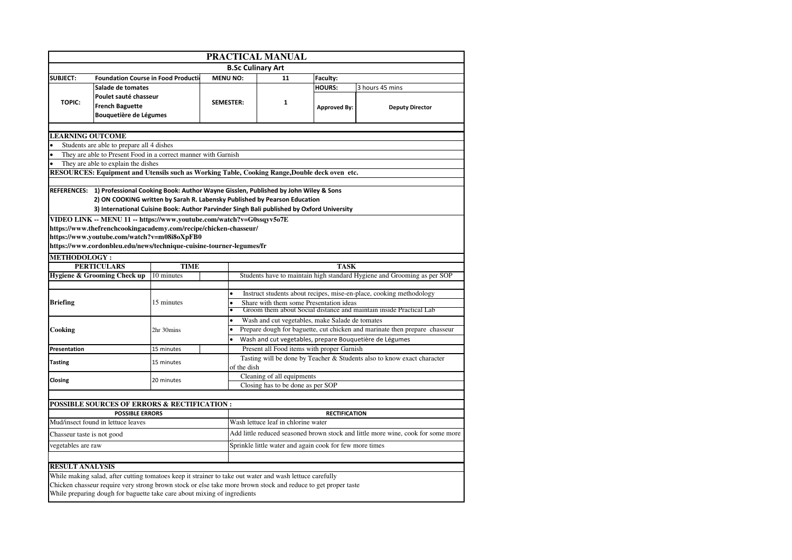| PRACTICAL MANUAL                          |                                                                                                               |                  |                                                                                  |                     |                                                                         |  |  |  |
|-------------------------------------------|---------------------------------------------------------------------------------------------------------------|------------------|----------------------------------------------------------------------------------|---------------------|-------------------------------------------------------------------------|--|--|--|
|                                           |                                                                                                               |                  | <b>B.Sc Culinary Art</b>                                                         |                     |                                                                         |  |  |  |
| <b>SUBJECT:</b>                           | <b>Foundation Course in Food Production</b>                                                                   | <b>MENU NO:</b>  | 11                                                                               | Faculty:            |                                                                         |  |  |  |
| Salade de tomates                         |                                                                                                               |                  |                                                                                  | <b>HOURS:</b>       | 3 hours 45 mins                                                         |  |  |  |
|                                           | Poulet sauté chasseur                                                                                         |                  |                                                                                  |                     |                                                                         |  |  |  |
| <b>TOPIC:</b><br><b>French Baguette</b>   |                                                                                                               | <b>SEMESTER:</b> | $\mathbf{1}$                                                                     | <b>Approved By:</b> | <b>Deputy Director</b>                                                  |  |  |  |
|                                           | Bouquetière de Légumes                                                                                        |                  |                                                                                  |                     |                                                                         |  |  |  |
|                                           |                                                                                                               |                  |                                                                                  |                     |                                                                         |  |  |  |
| <b>LEARNING OUTCOME</b>                   |                                                                                                               |                  |                                                                                  |                     |                                                                         |  |  |  |
| Students are able to prepare all 4 dishes |                                                                                                               |                  |                                                                                  |                     |                                                                         |  |  |  |
|                                           | They are able to Present Food in a correct manner with Garnish                                                |                  |                                                                                  |                     |                                                                         |  |  |  |
| They are able to explain the dishes       |                                                                                                               |                  |                                                                                  |                     |                                                                         |  |  |  |
|                                           | RESOURCES: Equipment and Utensils such as Working Table, Cooking Range, Double deck oven etc.                 |                  |                                                                                  |                     |                                                                         |  |  |  |
|                                           | REFERENCES: 1) Professional Cooking Book: Author Wayne Gisslen, Published by John Wiley & Sons                |                  |                                                                                  |                     |                                                                         |  |  |  |
|                                           | 2) ON COOKING written by Sarah R. Labensky Published by Pearson Education                                     |                  |                                                                                  |                     |                                                                         |  |  |  |
|                                           | 3) International Cuisine Book: Author Parvinder Singh Bali published by Oxford University                     |                  |                                                                                  |                     |                                                                         |  |  |  |
|                                           | VIDEO LINK -- MENU 11 -- https://www.youtube.com/watch?v=G0ssqyv5o7E                                          |                  |                                                                                  |                     |                                                                         |  |  |  |
|                                           | https://www.thefrenchcookingacademy.com/recipe/chicken-chasseur/                                              |                  |                                                                                  |                     |                                                                         |  |  |  |
|                                           | https://www.youtube.com/watch?v=m08i8oXpFB0                                                                   |                  |                                                                                  |                     |                                                                         |  |  |  |
|                                           | https://www.cordonbleu.edu/news/technique-cuisine-tourner-legumes/fr                                          |                  |                                                                                  |                     |                                                                         |  |  |  |
| <b>METHODOLOGY:</b>                       |                                                                                                               |                  |                                                                                  |                     |                                                                         |  |  |  |
| <b>PERTICULARS</b>                        | <b>TIME</b>                                                                                                   |                  | <b>TASK</b>                                                                      |                     |                                                                         |  |  |  |
| Hygiene & Grooming Check up               | 10 minutes                                                                                                    |                  |                                                                                  |                     | Students have to maintain high standard Hygiene and Grooming as per SOP |  |  |  |
|                                           |                                                                                                               |                  |                                                                                  |                     |                                                                         |  |  |  |
|                                           |                                                                                                               | $\bullet$        | Instruct students about recipes, mise-en-place, cooking methodology              |                     |                                                                         |  |  |  |
| <b>Briefing</b>                           | 15 minutes                                                                                                    |                  | Share with them some Presentation ideas                                          |                     |                                                                         |  |  |  |
|                                           |                                                                                                               |                  |                                                                                  |                     | Groom them about Social distance and maintain inside Practical Lab      |  |  |  |
|                                           |                                                                                                               |                  | Wash and cut vegetables, make Salade de tomates                                  |                     |                                                                         |  |  |  |
| Cooking                                   | 2hr 30mins                                                                                                    |                  | Prepare dough for baguette, cut chicken and marinate then prepare chasseur       |                     |                                                                         |  |  |  |
|                                           |                                                                                                               |                  | Wash and cut vegetables, prepare Bouquetière de Légumes                          |                     |                                                                         |  |  |  |
| Presentation                              | 15 minutes                                                                                                    |                  | Present all Food items with proper Garnish                                       |                     |                                                                         |  |  |  |
| <b>Tasting</b>                            | 15 minutes                                                                                                    |                  |                                                                                  |                     | Tasting will be done by Teacher & Students also to know exact character |  |  |  |
|                                           |                                                                                                               | of the dish      | Cleaning of all equipments                                                       |                     |                                                                         |  |  |  |
| Closing                                   | 20 minutes                                                                                                    |                  | Closing has to be done as per SOP                                                |                     |                                                                         |  |  |  |
|                                           |                                                                                                               |                  |                                                                                  |                     |                                                                         |  |  |  |
|                                           | POSSIBLE SOURCES OF ERRORS & RECTIFICATION :                                                                  |                  |                                                                                  |                     |                                                                         |  |  |  |
|                                           | <b>POSSIBLE ERRORS</b>                                                                                        |                  | <b>RECTIFICATION</b>                                                             |                     |                                                                         |  |  |  |
| Mud/insect found in lettuce leaves        |                                                                                                               |                  | Wash lettuce leaf in chlorine water                                              |                     |                                                                         |  |  |  |
| Chasseur taste is not good                |                                                                                                               |                  | Add little reduced seasoned brown stock and little more wine, cook for some more |                     |                                                                         |  |  |  |
| vegetables are raw                        |                                                                                                               |                  | Sprinkle little water and again cook for few more times                          |                     |                                                                         |  |  |  |
|                                           |                                                                                                               |                  |                                                                                  |                     |                                                                         |  |  |  |
| <b>RESULT ANALYSIS</b>                    |                                                                                                               |                  |                                                                                  |                     |                                                                         |  |  |  |
|                                           | While making salad, after cutting tomatoes keep it strainer to take out water and wash lettuce carefully      |                  |                                                                                  |                     |                                                                         |  |  |  |
|                                           | Chicken chasseur require very strong brown stock or else take more brown stock and reduce to get proper taste |                  |                                                                                  |                     |                                                                         |  |  |  |
|                                           | While preparing dough for baguette take care about mixing of ingredients                                      |                  |                                                                                  |                     |                                                                         |  |  |  |